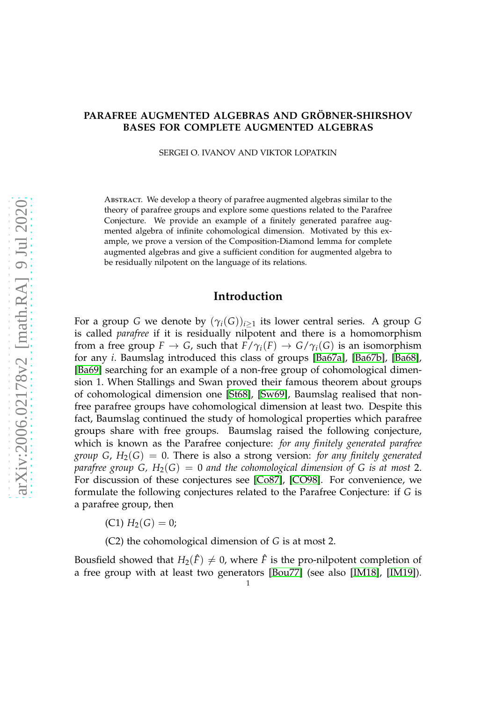#### **PARAFREE AUGMENTED ALGEBRAS AND GRÖBNER-SHIRSHOV BASES FOR COMPLETE AUGMENTED ALGEBRAS**

SERGEI O. IVANOV AND VIKTOR LOPATKIN

Abstract. We develop a theory of parafree augmented algebras similar to the theory of parafree groups and explore some questions related to the Parafree Conjecture. We provide an example of a finitely generated parafree augmented algebra of infinite cohomological dimension. Motivated by this example, we prove a version of the Composition-Diamond lemma for complete augmented algebras and give a sufficient condition for augmented algebra to be residually nilpotent on the language of its relations.

### **Introduction**

For a group *G* we denote by  $(\gamma_i(G))_{i\geq 1}$  its lower central series. A group *G* is called *parafree* if it is residually nilpotent and there is a homomorphism from a free group  $F \to G$ , such that  $F/\gamma_i(F) \to G/\gamma_i(G)$  is an isomorphism for any *i*. Baumslag introduced this class of groups [\[Ba67a\]](#page-27-0), [\[Ba67b\]](#page-27-1), [\[Ba68\]](#page-27-2), [\[Ba69\]](#page-27-3) searching for an example of a non-free group of cohomological dimension 1. When Stallings and Swan proved their famous theorem about groups of cohomological dimension one [\[St68\]](#page-28-0), [\[Sw69\]](#page-28-1), Baumslag realised that nonfree parafree groups have cohomological dimension at least two. Despite this fact, Baumslag continued the study of homological properties which parafree groups share with free groups. Baumslag raised the following conjecture, which is known as the Parafree conjecture: *for any finitely generated parafree group G,*  $H_2(G) = 0$ *. There is also a strong version: for any finitely generated parafree group G, H*2(*G*) = 0 *and the cohomological dimension of G is at most* 2. For discussion of these conjectures see [\[Co87\]](#page-28-2), [\[CO98\]](#page-28-3). For convenience, we formulate the following conjectures related to the Parafree Conjecture: if *G* is a parafree group, then

 $(C1)$   $H_2(G) = 0;$ 

(C2) the cohomological dimension of *G* is at most 2.

Bousfield showed that  $H_2(\hat{F}) \neq 0$ , where  $\hat{F}$  is the pro-nilpotent completion of a free group with at least two generators [\[Bou77\]](#page-27-4) (see also [\[IM18\]](#page-28-4), [\[IM19\]](#page-28-5)).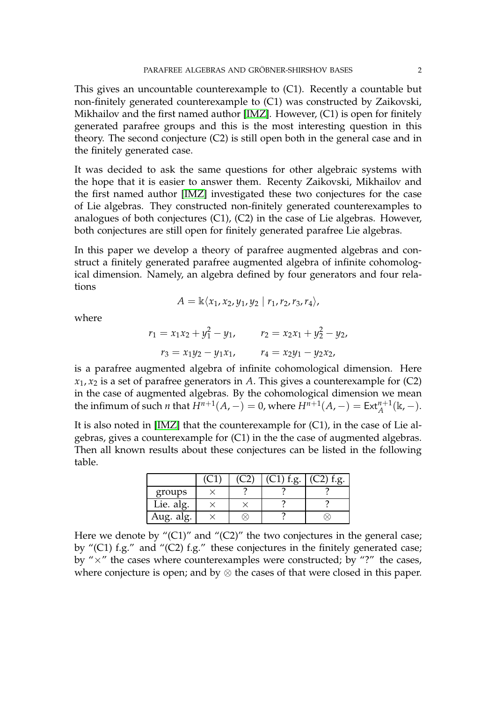This gives an uncountable counterexample to (C1). Recently a countable but non-finitely generated counterexample to (C1) was constructed by Zaikovski, Mikhailov and the first named author [\[IMZ\]](#page-28-6). However, (C1) is open for finitely generated parafree groups and this is the most interesting question in this theory. The second conjecture (C2) is still open both in the general case and in the finitely generated case.

It was decided to ask the same questions for other algebraic systems with the hope that it is easier to answer them. Recenty Zaikovski, Mikhailov and the first named author [\[IMZ\]](#page-28-6) investigated these two conjectures for the case of Lie algebras. They constructed non-finitely generated counterexamples to analogues of both conjectures (C1), (C2) in the case of Lie algebras. However, both conjectures are still open for finitely generated parafree Lie algebras.

In this paper we develop a theory of parafree augmented algebras and construct a finitely generated parafree augmented algebra of infinite cohomological dimension. Namely, an algebra defined by four generators and four relations

$$
A = \mathbb{k}\langle x_1, x_2, y_1, y_2 | r_1, r_2, r_3, r_4 \rangle,
$$

where

$$
r_1 = x_1x_2 + y_1^2 - y_1, \qquad r_2 = x_2x_1 + y_2^2 - y_2,
$$
  

$$
r_3 = x_1y_2 - y_1x_1, \qquad r_4 = x_2y_1 - y_2x_2,
$$

is a parafree augmented algebra of infinite cohomological dimension. Here  $x_1, x_2$  is a set of parafree generators in *A*. This gives a counterexample for (C2) in the case of augmented algebras. By the cohomological dimension we mean the infimum of such *n* that  $H^{n+1}(A, -) = 0$ , where  $H^{n+1}(A, -) = Ext_A^{n+1}(\mathbb{k}, -)$ .

It is also noted in [\[IMZ\]](#page-28-6) that the counterexample for (C1), in the case of Lie algebras, gives a counterexample for (C1) in the the case of augmented algebras. Then all known results about these conjectures can be listed in the following table.

|           |  | $\sigma$ |  |
|-----------|--|----------|--|
| groups    |  |          |  |
| Lie. alg. |  |          |  |
| Aug. alg. |  |          |  |

Here we denote by " $(C1)$ " and " $(C2)$ " the two conjectures in the general case; by "(C1) f.g." and "(C2) f.g." these conjectures in the finitely generated case; by " $\times$ " the cases where counterexamples were constructed; by "?" the cases, where conjecture is open; and by  $\otimes$  the cases of that were closed in this paper.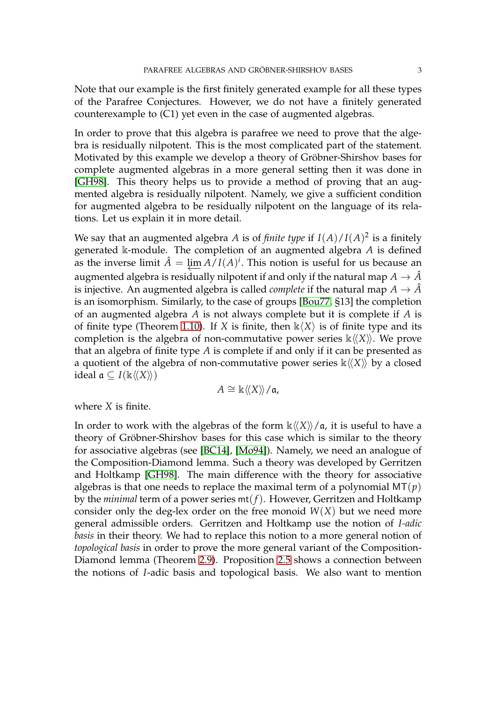Note that our example is the first finitely generated example for all these types of the Parafree Conjectures. However, we do not have a finitely generated counterexample to (C1) yet even in the case of augmented algebras.

In order to prove that this algebra is parafree we need to prove that the algebra is residually nilpotent. This is the most complicated part of the statement. Motivated by this example we develop a theory of Gröbner-Shirshov bases for complete augmented algebras in a more general setting then it was done in [\[GH98\]](#page-28-7). This theory helps us to provide a method of proving that an augmented algebra is residually nilpotent. Namely, we give a sufficient condition for augmented algebra to be residually nilpotent on the language of its relations. Let us explain it in more detail.

We say that an augmented algebra *A* is of *finite type* if  $I(A)/I(A)^2$  is a finitely generated k-module. The completion of an augmented algebra *A* is defined as the inverse limit  $\hat{A} = \lim_{h \to 0} \overline{A/I}(A)^i$ . This notion is useful for us because an augmented algebra is residually nilpotent if and only if the natural map  $A \to \hat{A}$ is injective. An augmented algebra is called *complete* if the natural map  $A \to \hat{A}$ is an isomorphism. Similarly, to the case of groups [\[Bou77,](#page-27-4) §13] the completion of an augmented algebra *A* is not always complete but it is complete if *A* is of finite type (Theorem [1.10\)](#page-8-0). If *X* is finite, then  $\mathbb{k}\langle X\rangle$  is of finite type and its completion is the algebra of non-commutative power series  $\kappa \langle X \rangle$ . We prove that an algebra of finite type *A* is complete if and only if it can be presented as a quotient of the algebra of non-commutative power series  $\kappa \langle X \rangle$  by a closed ideal  $\alpha$  ⊆ *I*( $\mathbb{k}\langle\langle X\rangle\rangle$ )

$$
A \cong \Bbbk \langle\!\langle X \rangle\!\rangle / \mathfrak{a},
$$

where *X* is finite.

In order to work with the algebras of the form  $\kappa \langle\langle X \rangle\rangle / \mathfrak{a}$ , it is useful to have a theory of Gröbner-Shirshov bases for this case which is similar to the theory for associative algebras (see [\[BC14\]](#page-27-5), [\[Mo94\]](#page-28-8)). Namely, we need an analogue of the Composition-Diamond lemma. Such a theory was developed by Gerritzen and Holtkamp [\[GH98\]](#page-28-7). The main difference with the theory for associative algebras is that one needs to replace the maximal term of a polynomial  $MT(p)$ by the *minimal* term of a power series mt(*f*). However, Gerritzen and Holtkamp consider only the deg-lex order on the free monoid  $W(X)$  but we need more general admissible orders. Gerritzen and Holtkamp use the notion of *I-adic basis* in their theory. We had to replace this notion to a more general notion of *topological basis* in order to prove the more general variant of the Composition-Diamond lemma (Theorem [2.9\)](#page-12-0). Proposition [2.5](#page-10-0) shows a connection between the notions of *I*-adic basis and topological basis. We also want to mention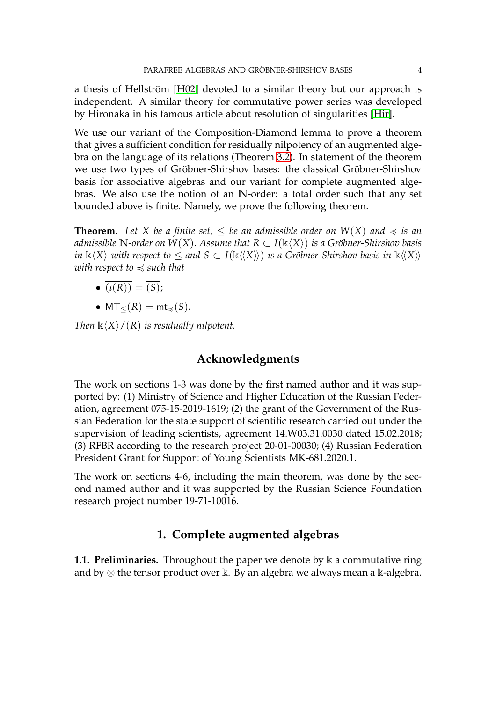a thesis of Hellström [\[H02\]](#page-28-9) devoted to a similar theory but our approach is independent. A similar theory for commutative power series was developed by Hironaka in his famous article about resolution of singularities [\[Hir\]](#page-28-10).

We use our variant of the Composition-Diamond lemma to prove a theorem that gives a sufficient condition for residually nilpotency of an augmented algebra on the language of its relations (Theorem [3.2\)](#page-18-0). In statement of the theorem we use two types of Gröbner-Shirshov bases: the classical Gröbner-Shirshov basis for associative algebras and our variant for complete augmented algebras. We also use the notion of an **N**-order: a total order such that any set bounded above is finite. Namely, we prove the following theorem.

**Theorem.** Let X be a finite set,  $\leq$  be an admissible order on  $W(X)$  and  $\preccurlyeq$  is an *admissible* **N**-order on  $W(X)$ . Assume that  $R \subset I(\mathbb{k}\langle X \rangle)$  *is a Gröbner-Shirshov basis in*  $\Bbbk \langle X \rangle$  *with respect to*  $\leq$  *and*  $S \subset I(\Bbbk \langle\langle X \rangle\rangle)$  *is a Gröbner-Shirshov basis in*  $\Bbbk \langle\langle X \rangle\rangle$ *with respect to*  $\leq$  *such that* 

- $\bullet$   $\overline{(t(R))} = \overline{(S)}$ ;
- $MT_{\leq}(R) = mt_{\preccurlyeq}(S)$ .

*Then*  $\mathbb{k}\langle X\rangle/(R)$  *is residually nilpotent.* 

## **Acknowledgments**

The work on sections 1-3 was done by the first named author and it was supported by: (1) Ministry of Science and Higher Education of the Russian Federation, agreement 075-15-2019-1619; (2) the grant of the Government of the Russian Federation for the state support of scientific research carried out under the supervision of leading scientists, agreement 14.W03.31.0030 dated 15.02.2018; (3) RFBR according to the research project 20-01-00030; (4) Russian Federation President Grant for Support of Young Scientists MK-681.2020.1.

The work on sections 4-6, including the main theorem, was done by the second named author and it was supported by the Russian Science Foundation research project number 19-71-10016.

# **1. Complete augmented algebras**

**1.1. Preliminaries.** Throughout the paper we denote by k a commutative ring and by  $\otimes$  the tensor product over k. By an algebra we always mean a k-algebra.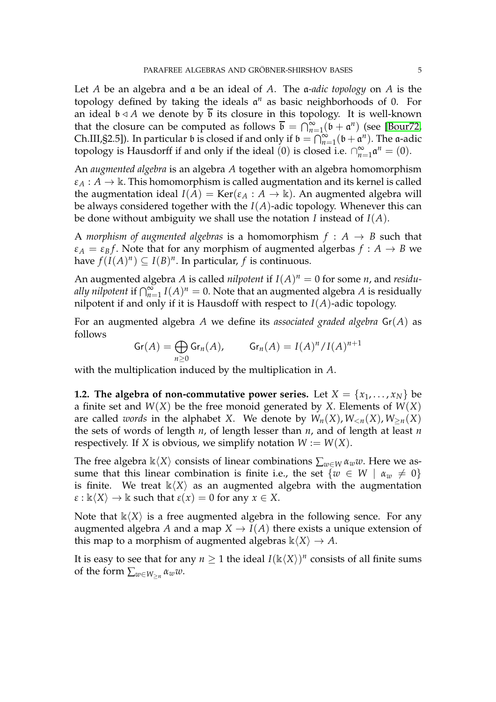Let *A* be an algebra and a be an ideal of *A*. The a*-adic topology* on *A* is the topology defined by taking the ideals a *<sup>n</sup>* as basic neighborhoods of 0. For an ideal  $\mathfrak{b} \triangleleft A$  we denote by  $\overline{\mathfrak{b}}$  its closure in this topology. It is well-known that the closure can be computed as follows  $\bar{b} = \bigcap_{n=1}^{\infty} (\bar{b} + \alpha^n)$  (see [\[Bour72,](#page-27-6) Ch.III, §2.5]). In particular  $\mathfrak b$  is closed if and only if  $\mathfrak b = \bigcap_{n=1}^{\infty} (\mathfrak b + \mathfrak a^n)$ . The a-adic topology is Hausdorff if and only if the ideal (0) is closed i.e.  $\bigcap_{n=1}^{\infty}$  $\sum_{n=1}^{\infty} \mathfrak{a}^n = (0).$ 

An *augmented algebra* is an algebra *A* together with an algebra homomorphism  $\varepsilon_A : A \to \mathbb{k}$ . This homomorphism is called augmentation and its kernel is called the augmentation ideal  $I(A) = \text{Ker}(\varepsilon_A : A \to \mathbb{k})$ . An augmented algebra will be always considered together with the *I*(*A*)-adic topology. Whenever this can be done without ambiguity we shall use the notation *I* instead of *I*(*A*).

A *morphism of augmented algebras* is a homomorphism  $f : A \rightarrow B$  such that  $\varepsilon_A = \varepsilon_B f$ . Note that for any morphism of augmented algerbas  $f : A \rightarrow B$  we have  $f(I(A)^n) \subseteq I(B)^n$ . In particular, f is continuous.

An augmented algebra *A* is called *nilpotent* if  $I(A)^n = 0$  for some *n*, and *residually nilpotent* if  $\bigcap_{n=1}^{\infty} I(A)^n = 0$ . Note that an augmented algebra *A* is residually nilpotent if and only if it is Hausdoff with respect to  $I(A)$ -adic topology.

For an augmented algebra *A* we define its *associated graded algebra* Gr(*A*) as follows

$$
\operatorname{Gr}(A) = \bigoplus_{n \geq 0} \operatorname{Gr}_n(A), \qquad \operatorname{Gr}_n(A) = I(A)^n / I(A)^{n+1}
$$

with the multiplication induced by the multiplication in *A*.

**1.2. The algebra of non-commutative power series.** Let  $X = \{x_1, \ldots, x_N\}$  be a finite set and *W*(*X*) be the free monoid generated by *X*. Elements of *W*(*X*) are called *words* in the alphabet *X*. We denote by  $W_n(X)$ ,  $W_{\leq n}(X)$ ,  $W_{\geq n}(X)$ the sets of words of length *n*, of length lesser than *n*, and of length at least *n* respectively. If *X* is obvious, we simplify notation  $W := W(X)$ .

The free algebra  $\mathbb{k}\langle X\rangle$  consists of linear combinations  $\sum_{w\in W} \alpha_w w$ . Here we assume that this linear combination is finite i.e., the set  $\{w \in W \mid \alpha_w \neq 0\}$ is finite. We treat  $\kappa\langle X\rangle$  as an augmented algebra with the augmentation  $\varepsilon$  :  $\mathbb{k}\langle X\rangle \to \mathbb{k}$  such that  $\varepsilon(x) = 0$  for any  $x \in X$ .

Note that  $\mathbb{k}\langle X\rangle$  is a free augmented algebra in the following sence. For any augmented algebra *A* and a map  $X \to I(A)$  there exists a unique extension of this map to a morphism of augmented algebras  $\mathbb{k}\langle X\rangle \rightarrow A$ .

It is easy to see that for any  $n \geq 1$  the ideal  $I(\mathbb{k}\langle X \rangle)^n$  consists of all finite sums of the form  $\sum_{w \in W_{\ge n}} \alpha_w w$ .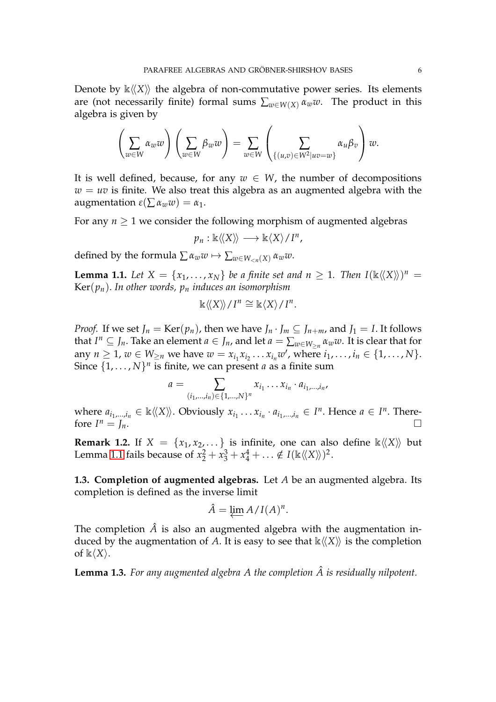Denote by  $\mathbb{k}\langle\langle X\rangle\rangle$  the algebra of non-commutative power series. Its elements are (not necessarily finite) formal sums  $\sum_{w \in W(X)} \alpha_w w$ . The product in this algebra is given by

$$
\left(\sum_{w\in W}\alpha_w w\right)\left(\sum_{w\in W}\beta_w w\right)=\sum_{w\in W}\left(\sum_{\{(u,v)\in W^2|uv=w\}}\alpha_u\beta_v\right)w.
$$

It is well defined, because, for any  $w \in W$ , the number of decompositions  $w = uv$  is finite. We also treat this algebra as an augmented algebra with the augmentation *ε*(∑ *αww*) = *α*1.

For any  $n \geq 1$  we consider the following morphism of augmented algebras

$$
p_n:\Bbbk\langle\langle X\rangle\rangle\longrightarrow \Bbbk\langle X\rangle/I^n,
$$

<span id="page-5-0"></span>defined by the formula  $\sum \alpha_w w \mapsto \sum_{w \in W_{\leq n}(X)} \alpha_w w$ .

**Lemma 1.1.** Let  $X = \{x_1, \ldots, x_N\}$  be a finite set and  $n \geq 1$ . Then  $I(\mathbb{k}\langle\langle X\rangle\rangle)^n =$ Ker(*pn*). *In other words, p<sup>n</sup> induces an isomorphism*

$$
\Bbbk \langle\langle X\rangle\rangle / I^n \cong \Bbbk \langle X\rangle / I^n.
$$

*Proof.* If we set  $J_n = \text{Ker}(p_n)$ , then we have  $J_n \cdot J_m \subseteq J_{n+m}$ , and  $J_1 = I$ . It follows that  $I^n \subseteq J_n$ . Take an element  $a \in J_n$ , and let  $a = \sum_{w \in W_{\ge n}} \alpha_w w$ . It is clear that for any  $n \ge 1$ ,  $w \in W_{\ge n}$  we have  $w = x_{i_1} x_{i_2} \dots x_{i_n} w'$ , where  $i_1, \dots, i_n \in \{1, \dots, N\}$ . Since  $\{1, \ldots, N\}^n$  is finite, we can present *a* as a finite sum

$$
a = \sum_{(i_1,...,i_n) \in \{1,...,N\}^n} x_{i_1} \dots x_{i_n} \cdot a_{i_1,...,i_n},
$$

where  $a_{i_1,...,i_n} \in \mathbb{k}\langle\langle X\rangle\rangle$ . Obviously  $x_{i_1} \ldots x_{i_n} \cdot a_{i_1,...,i_n} \in I^n$ . Hence  $a \in I^n$ . Therefore  $I^n = I_n$ .  $n = J_n$ .

**Remark 1.2.** If  $X = \{x_1, x_2, \dots\}$  is infinite, one can also define  $\kappa \langle X \rangle$  but Lemma [1.1](#page-5-0) fails because of  $x_2^2 + x_3^3 + x_4^4 + \ldots \notin I(\mathbb{k}\langle\langle X\rangle\rangle)^2$ .

**1.3. Completion of augmented algebras.** Let *A* be an augmented algebra. Its completion is defined as the inverse limit

$$
\hat{A} = \varprojlim A/I(A)^n.
$$

The completion  $\hat{A}$  is also an augmented algebra with the augmentation induced by the augmentation of A. It is easy to see that  $\mathbb{k}\langle\langle X\rangle\rangle$  is the completion of  $\mathbb{k}\langle X\rangle$ .

<span id="page-5-1"></span>**Lemma 1.3.** For any augmented algebra A the completion  $\hat{A}$  is residually nilpotent.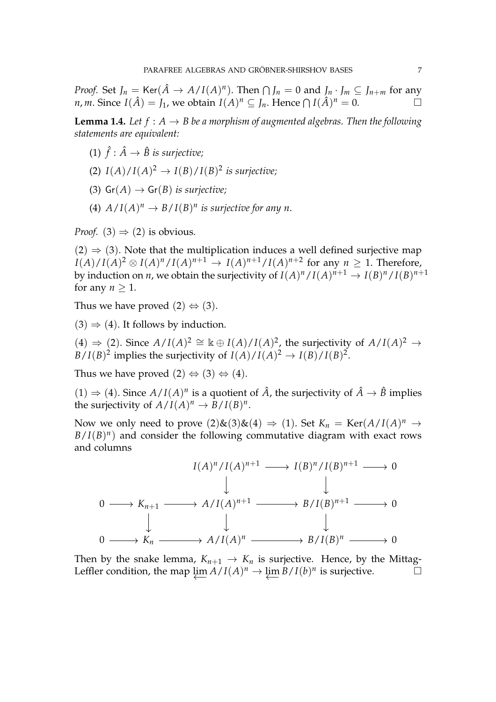*Proof.* Set  $J_n = \text{Ker}(\hat{A} \to A/I(A)^n)$ . Then  $\bigcap J_n = 0$  and  $J_n \cdot J_m \subseteq J_{n+m}$  for any *n*, *m*. Since  $I(\hat{A}) = J_1$ , we obtain  $I(A)^n \subseteq J_n$ . Hence  $\bigcap I(\hat{A})^n = 0$ .

<span id="page-6-0"></span>**Lemma 1.4.** *Let*  $f : A \rightarrow B$  *be a morphism of augmented algebras. Then the following statements are equivalent:*

- (1)  $\hat{f}$  :  $\hat{A} \rightarrow \hat{B}$  is surjective;
- (2)  $I(A)/I(A)^2 \rightarrow I(B)/I(B)^2$  is surjective;
- (3)  $Gr(A) \rightarrow Gr(B)$  *is surjective;*
- (4)  $A/I(A)^n \to B/I(B)^n$  is surjective for any n.

*Proof.* (3)  $\Rightarrow$  (2) is obvious.

 $(2) \Rightarrow (3)$ . Note that the multiplication induces a well defined surjective map  $I(A)/I(A)^2 \otimes I(A)^n/I(A)^{n+1} \rightarrow I(A)^{n+1}/I(A)^{n+2}$  for any  $n \geq 1$ . Therefore, by induction on *n,* we obtain the surjectivity of  $I(A)^n/I(A)^{n+1} \to I(B)^n/I(B)^{n+1}$ for any  $n > 1$ .

Thus we have proved  $(2) \Leftrightarrow (3)$ .

 $(3) \Rightarrow (4)$ . It follows by induction.

 $(4)$  ⇒ (2). Since  $A/I(A)^2 \cong \mathbb{k} \oplus I(A)/I(A)^2$ , the surjectivity of  $A/I(A)^2 \rightarrow$  $B/I(B)^2$  implies the surjectivity of  $I(A)/I(A)^2 \rightarrow I(B)/I(B)^2$ .

Thus we have proved  $(2) \Leftrightarrow (3) \Leftrightarrow (4)$ .

 $(1) \Rightarrow (4)$ . Since  $A/I(A)^n$  is a quotient of  $\hat{A}$ , the surjectivity of  $\hat{A} \rightarrow \hat{B}$  implies the surjectivity of  $A/I(A)^n \to B/I(B)^n$ .

Now we only need to prove  $(2)$ & $(3)$ & $(4)$   $\Rightarrow$   $(1)$ . Set  $K_n = \text{Ker}(A/I(A)^n \rightarrow$  $B/I(B)^n$ ) and consider the following commutative diagram with exact rows and columns



Then by the snake lemma,  $K_{n+1} \rightarrow K_n$  is surjective. Hence, by the Mittag-Leffler condition, the map  $\varprojlim A/I(A)^n \to \varprojlim B/I(b)^n$  is surjective.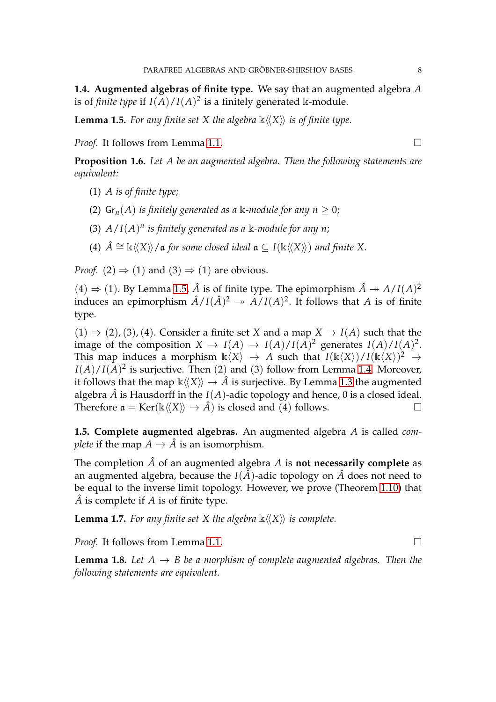<span id="page-7-0"></span>**1.4. Augmented algebras of finite type.** We say that an augmented algebra *A* is of *finite type* if  $I(A)/I(A)^2$  is a finitely generated k-module.

**Lemma 1.5.** For any finite set X the algebra  $\mathbb{k}\langle\langle X \rangle\rangle$  is of finite type.

<span id="page-7-1"></span>*Proof.* It follows from Lemma [1.1.](#page-5-0) □

**Proposition 1.6.** *Let A be an augmented algebra. Then the following statements are equivalent:*

- (1) *A is of finite type;*
- (2)  $\mathsf{Gr}_n(A)$  *is finitely generated as a* k-module for any  $n > 0$ ;
- (3)  $A/I(A)^n$  is finitely generated as a  $\Bbbk$ -module for any n;
- (4)  $\hat{A} \cong \mathbb{k}\langle\langle X \rangle\rangle/\mathfrak{a}$  *for some closed ideal*  $\mathfrak{a} \subseteq I(\mathbb{k}\langle\langle X \rangle\rangle)$  *and finite* X.

*Proof.* (2)  $\Rightarrow$  (1) and (3)  $\Rightarrow$  (1) are obvious.

 $(4) \Rightarrow (1)$ . By Lemma [1.5,](#page-7-0)  $\hat{A}$  is of finite type. The epimorphism  $\hat{A} \rightarrow A/I(A)^2$ induces an epimorphism  $\hat{A}/I(\hat{A})^2 \rightarrow A/I(A)^2$ . It follows that *A* is of finite type.

 $(1) \Rightarrow (2)$ ,  $(3)$ ,  $(4)$ . Consider a finite set *X* and a map  $X \rightarrow I(A)$  such that the image of the composition  $X \to I(A) \to I(A)/I(A)^2$  generates  $I(A)/I(A)^2$ . This map induces a morphism  $\Bbbk\langle X\rangle \to A$  such that  $I(\Bbbk\langle X\rangle)/I(\Bbbk\langle X\rangle)^2 \to$  $I(A)/I(A)^2$  is surjective. Then (2) and (3) follow from Lemma [1.4.](#page-6-0) Moreover, it follows that the map  $\mathbb{k}\langle\langle X\rangle\rangle \to \hat{A}$  is surjective. By Lemma [1.3](#page-5-1) the augmented algebra  $\hat{A}$  is Hausdorff in the  $I(A)$ -adic topology and hence, 0 is a closed ideal. Therefore  $\mathfrak{a} = \text{Ker}(\mathbb{k}\langle\langle X \rangle\rangle \to \hat{A})$  is closed and (4) follows.

**1.5. Complete augmented algebras.** An augmented algebra *A* is called *complete* if the map  $A \rightarrow \hat{A}$  is an isomorphism.

The completion  $\hat{A}$  of an augmented algebra  $A$  is **not necessarily complete** as an augmented algebra, because the  $I(\hat{A})$ -adic topology on  $\hat{A}$  does not need to be equal to the inverse limit topology. However, we prove (Theorem [1.10\)](#page-8-0) that  $\hat{A}$  is complete if  $A$  is of finite type.

**Lemma 1.7.** For any finite set X the algebra  $\mathbb{k}\langle\langle X\rangle\rangle$  is complete.

*Proof.* It follows from Lemma [1.1.](#page-5-0) □

**Lemma 1.8.** Let  $A \rightarrow B$  be a morphism of complete augmented algebras. Then the *following statements are equivalent.*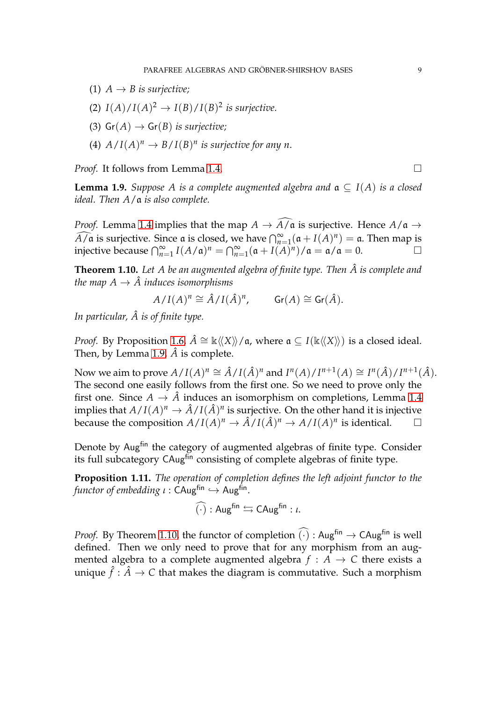- (1)  $A \rightarrow B$  *is surjective;*
- (2)  $I(A)/I(A)^2 \rightarrow I(B)/I(B)^2$  *is surjective.*
- (3)  $Gr(A) \rightarrow Gr(B)$  *is surjective;*
- (4)  $A/I(A)^n \to B/I(B)^n$  is surjective for any n.

<span id="page-8-1"></span>*Proof.* It follows from Lemma [1.4.](#page-6-0) □

**Lemma 1.9.** *Suppose A is a complete augmented algebra and*  $\alpha \subset I(A)$  *is a closed ideal. Then A*/a *is also complete.*

*Proof.* Lemma [1.4](#page-6-0) implies that the map  $A \to \widehat{A/a}$  is surjective. Hence  $A/\mathfrak{a} \to$  $\widehat{A/\mathfrak{a}}$  is surjective. Since  $\mathfrak{a}$  is closed, we have  $\bigcap_{n=1}^{\infty} (\mathfrak{a} + I(A)^n) = \mathfrak{a}$ . Then map is injective because  $\bigcap_{n=1}^{\infty} I(A/\mathfrak{a})^n = \bigcap_{n=1}^{\infty} (\mathfrak{a} + I(A)^n)/\mathfrak{a} = \mathfrak{a}/\mathfrak{a} = 0.$ 

<span id="page-8-0"></span>**Theorem 1.10.** Let A be an augmented algebra of finite type. Then  $\hat{A}$  is complete and *the map*  $A \rightarrow \hat{A}$  *induces isomorphisms* 

$$
A/I(A)^n \cong \hat{A}/I(\hat{A})^n, \qquad \text{Gr}(A) \cong \text{Gr}(\hat{A}).
$$

In particular,  $\hat{A}$  is of finite type.

*Proof.* By Proposition [1.6,](#page-7-1)  $\hat{A} \cong \mathbb{k}\langle\langle X \rangle\rangle/a$ , where  $\mathfrak{a} \subseteq I(\mathbb{k}\langle\langle X \rangle\rangle)$  is a closed ideal. Then, by Lemma [1.9,](#page-8-1)  $\hat{A}$  is complete.

Now we aim to prove  $A/I(A)^n \cong \hat{A}/I(\hat{A})^n$  and  $I^n(A)/I^{n+1}(A) \cong I^n(\hat{A})/I^{n+1}(\hat{A})$ . The second one easily follows from the first one. So we need to prove only the first one. Since  $A \to \hat{A}$  induces an isomorphism on completions, Lemma [1.4](#page-6-0) implies that  $A/I(A)^n \to \hat{A}/I(\hat{A})^n$  is surjective. On the other hand it is injective because the composition  $A/I(A)^n \to \hat{A}/I(\hat{A})^n \to A/I(A)^n$  is identical.

Denote by Aug<sup>fin</sup> the category of augmented algebras of finite type. Consider its full subcategory CAugfin consisting of complete algebras of finite type.

**Proposition 1.11.** *The operation of completion defines the left adjoint functor to the functor of embedding ι* : CAug<sup>fin</sup> → Aug<sup>fin</sup>.

$$
\widehat{(\cdot)}:\mathsf{Aug}^{\mathsf{fin}}\leftrightarrows \mathsf{CAug}^{\mathsf{fin}}:\iota.
$$

*Proof.* By Theorem [1.10,](#page-8-0) the functor of completion  $\widehat{(\cdot)}$  : Aug<sup>fin</sup>  $\rightarrow$  CAug<sup>fin</sup> is well defined. Then we only need to prove that for any morphism from an augmented algebra to a complete augmented algebra  $f : A \rightarrow C$  there exists a unique  $\hat{f} : \hat{A} \to C$  that makes the diagram is commutative. Such a morphism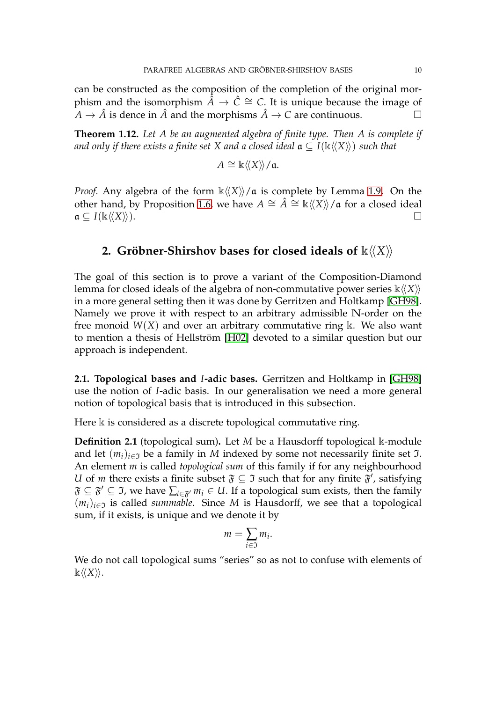can be constructed as the composition of the completion of the original morphism and the isomorphism  $\hat{A} \rightarrow \hat{C} \cong C$ . It is unique because the image of  $A \rightarrow \hat{A}$  is dence in  $\hat{A}$  and the morphisms  $\hat{A} \rightarrow C$  are continuous.

**Theorem 1.12.** *Let A be an augmented algebra of finite type. Then A is complete if and only if there exists a finite set X and a closed ideal*  $\mathfrak{a} \subseteq I(\mathbb{k}\langle\langle X\rangle\rangle)$  *such that* 

$$
A \cong \mathbb{k}\langle\langle X \rangle\rangle/\mathfrak{a}.
$$

*Proof.* Any algebra of the form  $\kappa \langle\langle X \rangle\rangle / \mathfrak{a}$  is complete by Lemma [1.9.](#page-8-1) On the other hand, by Proposition [1.6,](#page-7-1) we have  $A \cong \hat{A} \cong \mathbb{k}\langle\langle X \rangle\rangle/\mathfrak{a}$  for a closed ideal  $a \subset I(\mathbb{k}\langle\langle X \rangle\rangle).$ 

# **2. Gröbner-Shirshov bases for closed ideals of**  $\mathbb{k}\langle\langle X\rangle\rangle$

The goal of this section is to prove a variant of the Composition-Diamond lemma for closed ideals of the algebra of non-commutative power series  $\kappa \langle \langle X \rangle$ in a more general setting then it was done by Gerritzen and Holtkamp [\[GH98\]](#page-28-7). Namely we prove it with respect to an arbitrary admissible **N**-order on the free monoid  $W(X)$  and over an arbitrary commutative ring  $\Bbbk$ . We also want to mention a thesis of Hellström [\[H02\]](#page-28-9) devoted to a similar question but our approach is independent.

**2.1. Topological bases and** *I***-adic bases.** Gerritzen and Holtkamp in [\[GH98\]](#page-28-7) use the notion of *I*-adic basis. In our generalisation we need a more general notion of topological basis that is introduced in this subsection.

Here  $\Bbbk$  is considered as a discrete topological commutative ring.

**Definition 2.1** (topological sum)**.** Let *M* be a Hausdorff topological k-module and let  $(m_i)_{i \in \mathfrak{I}}$  be a family in *M* indexed by some not necessarily finite set  $\mathfrak{I}$ . An element *m* is called *topological sum* of this family if for any neighbourhood *U* of *m* there exists a finite subset  $\mathfrak{F} \subseteq \mathfrak{I}$  such that for any finite  $\mathfrak{F}'$ , satisfying  $\mathfrak{F}\subseteq \mathfrak{F}'\subseteq \mathfrak{I}$ , we have  $\sum_{i\in \mathfrak{F}'}m_i\in U.$  If a topological sum exists, then the family  $(m_i)_{i \in \mathcal{I}}$  is called *summable*. Since *M* is Hausdorff, we see that a topological sum, if it exists, is unique and we denote it by

$$
m=\sum_{i\in\mathfrak{I}}m_i.
$$

We do not call topological sums "series" so as not to confuse with elements of  $\Bbbk\langle\langle X\rangle\rangle.$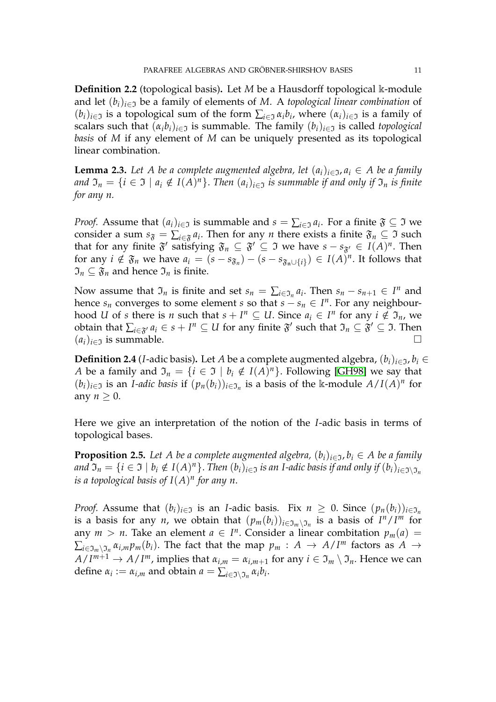**Definition 2.2** (topological basis)**.** Let *M* be a Hausdorff topological k-module and let  $(b_i)_{i \in \mathfrak{I}}$  be a family of elements of *M*. A *topological linear combination* of  $(b_i)_{i \in \mathfrak{I}}$  is a topological sum of the form  $\sum_{i \in \mathfrak{I}} \alpha_i b_i$ , where  $(\alpha_i)_{i \in \mathfrak{I}}$  is a family of scalars such that  $(\alpha_i b_i)_{i \in \mathcal{I}}$  is summable. The family  $(b_i)_{i \in \mathcal{I}}$  is called *topological basis* of *M* if any element of *M* can be uniquely presented as its topological linear combination.

<span id="page-10-1"></span>**Lemma 2.3.** Let A be a complete augmented algebra, let  $(a_i)_{i \in \mathcal{I}}$ ,  $a_i \in A$  be a family *and*  $\mathfrak{I}_n = \{i \in \mathfrak{I} \mid a_i \notin I(A)^n\}$ . *Then*  $(a_i)_{i \in \mathfrak{I}}$  *is summable if and only if*  $\mathfrak{I}_n$  *is finite for any n.*

*Proof.* Assume that  $(a_i)_{i \in \mathfrak{I}}$  is summable and  $s = \sum_{i \in \mathfrak{I}} a_i$ . For a finite  $\mathfrak{F} \subseteq \mathfrak{I}$  we consider a sum  $s_{\mathfrak{F}} = \sum_{i \in \mathfrak{F}} a_i$ . Then for any *n* there exists a finite  $\mathfrak{F}_n \subseteq \mathfrak{I}$  such that for any finite  $\mathfrak{F}'$  satisfying  $\mathfrak{F}_n \subseteq \mathfrak{F}' \subseteq \mathfrak{I}$  we have  $s - s_{\mathfrak{F}'} \in I(A)^n$ . Then for any  $i \notin \mathfrak{F}_n$  we have  $a_i = (s - s_{\mathfrak{F}_n}) - (s - s_{\mathfrak{F}_n \cup \{i\}}) \in I(A)^n$ . It follows that  $\mathfrak{I}_n \subseteq \mathfrak{F}_n$  and hence  $\mathfrak{I}_n$  is finite.

Now assume that  $\mathfrak{I}_n$  is finite and set  $s_n = \sum_{i \in \mathfrak{I}_n} a_i$ . Then  $s_n - s_{n+1} \in I^n$  and hence  $s_n$  converges to some element *s* so that  $s - s_n \in I^n$ . For any neighbourhood *U* of *s* there is *n* such that  $s + I^n \subseteq U$ . Since  $a_i \in I^n$  for any  $i \notin \mathfrak{I}_n$ , we obtain that  $\sum_{i\in \mathfrak{F}'}a_i\in s+I^n\subseteq U$  for any finite  $\mathfrak{F}'$  such that  $\mathfrak{I}_n\subseteq \mathfrak{F}'\subseteq \mathfrak{I}$ . Then  $(a_i)_{i \in \mathcal{I}}$  is summable.

**Definition 2.4** (*I*-adic basis). Let *A* be a complete augmented algebra,  $(b_i)_{i \in \mathcal{I}}$ ,  $b_i \in$ *A* be a family and  $\mathfrak{I}_n = \{i \in \mathfrak{I} \mid b_i \notin I(A)^n\}$ . Following [\[GH98\]](#page-28-7) we say that  $(b_i)_{i \in \mathfrak{I}}$  is an *I-adic basis* if  $(p_n(b_i))_{i \in \mathfrak{I}_n}$  is a basis of the k-module  $A/I(A)^n$  for any  $n \geq 0$ .

<span id="page-10-0"></span>Here we give an interpretation of the notion of the *I*-adic basis in terms of topological bases.

**Proposition 2.5.** Let A be a complete augmented algebra,  $(b_i)_{i \in \mathcal{I}}$ ,  $b_i \in A$  be a family  $and \, \mathfrak{I}_n=\{i\in\mathfrak{I}\mid b_i\notin I(A)^n\}.$  Then  $(b_i)_{i\in\mathfrak{I}}$  is an I-adic basis if and only if  $(b_i)_{i\in\mathfrak{I}\setminus\mathfrak{I}_n}$ *is a topological basis of I*(*A*) *n for any n*.

*Proof.* Assume that  $(b_i)_{i \in \mathcal{I}}$  is an *I*-adic basis. Fix  $n \geq 0$ . Since  $(p_n(b_i))_{i \in \mathcal{I}}$ is a basis for any *n*, we obtain that  $(p_m(b_i))_{i \in \mathfrak{I}_m \setminus \mathfrak{I}_n}$  is a basis of  $I^n/I^m$  for any  $m > n$ . Take an element  $a \in I^n$ . Consider a linear combitation  $p_m(a) =$  $\sum_{i\in\mathfrak{I}_m\backslash\mathfrak{I}_n} \alpha_{i,m} p_m(b_i)$ . The fact that the map  $p_m$  :  $A$   $\rightarrow$   $A/I^m$  factors as  $A$   $\rightarrow$  $A/I^{m+1} \to A/I^m$ , implies that  $\alpha_{i,m} = \alpha_{i,m+1}$  for any  $i \in \mathfrak{I}_m \setminus \mathfrak{I}_n$ . Hence we can define  $\alpha_i := \alpha_{i,m}$  and obtain  $a = \sum_{i \in \mathfrak{I} \setminus \mathfrak{I}_n} \alpha_i b_i$ .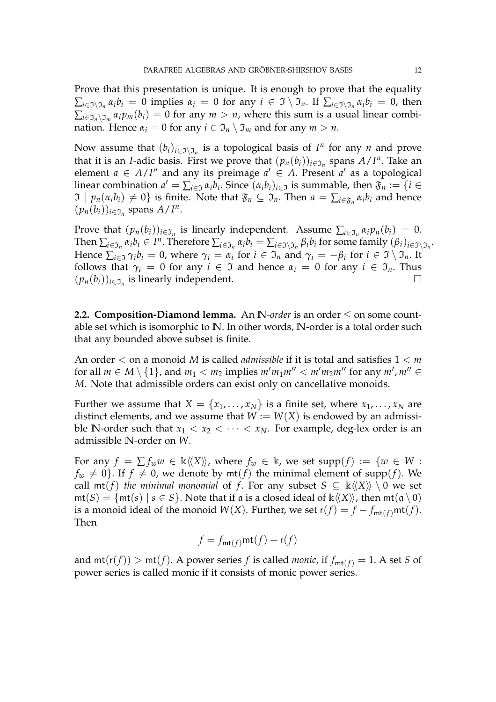Prove that this presentation is unique. It is enough to prove that the equality  $\sum_{i\in\mathfrak{I}\setminus\mathfrak{I}_n}\alpha_ib_i=0$  implies  $\alpha_i=0$  for any  $i\in\mathfrak{I}\setminus\mathfrak{I}_n.$  If  $\sum_{i\in\mathfrak{I}\setminus\mathfrak{I}_n}\alpha_ib_i=0$ , then  $\sum_{i \in \mathfrak{I}_n \setminus \mathfrak{I}_m} \alpha_i p_m(b_i) = 0$  for any  $m > n$ , where this sum is a usual linear combination. Hence  $\alpha_i = 0$  for any  $i \in \mathfrak{I}_n \setminus \mathfrak{I}_m$  and for any  $m > n$ .

Now assume that  $(b_i)_{i \in \mathcal{I} \setminus \mathcal{I}_n}$  is a topological basis of  $I^n$  for any  $n$  and prove that it is an *I*-adic basis. First we prove that  $(p_n(b_i))_{i \in \mathcal{I}_n}$  spans  $A/I^n$ . Take an element  $a \in A/I^n$  and any its preimage  $a' \in A$ . Present  $a'$  as a topological linear combination  $a' = \sum_{i \in \mathfrak{I}} \alpha_i b_i$ . Since  $(\alpha_i b_i)_{i \in \mathfrak{I}}$  is summable, then  $\mathfrak{F}_n := \{i \in \mathfrak{I} \mid i \in \mathfrak{I}\}$  $\mathfrak{I} \mid p_n(\alpha_i b_i) \neq 0\}$  is finite. Note that  $\mathfrak{F}_n \subseteq \mathfrak{I}_n$ . Then  $a = \sum_{i \in \mathfrak{F}_n} \alpha_i b_i$  and hence  $(p_n(b_i))_{i \in \mathfrak{I}_n}$  spans  $A/I^n$ .

Prove that  $(p_n(b_i))_{i \in \mathfrak{I}_n}$  is linearly independent. Assume  $\sum_{i \in \mathfrak{I}_n} \alpha_i p_n(b_i) = 0$ . Then  $\sum_{i\in\mathfrak{I}_n}\alpha_ib_i\in I^n$ . Therefore  $\sum_{i\in\mathfrak{I}_n}\alpha_ib_i=\sum_{i\in\mathfrak{I}\setminus\mathfrak{I}_n}\beta_ib_i$  for some family  $(\beta_i)_{i\in\mathfrak{I}\setminus\mathfrak{I}_n}$ . Hence  $\sum_{i\in\mathfrak{I}}\gamma_{i}b_{i}=0$ , where  $\gamma_{i}=\alpha_{i}$  for  $i\in\mathfrak{I}_{n}$  and  $\gamma_{i}=-\beta_{i}$  for  $i\in\mathfrak{I}\setminus\mathfrak{I}_{n}$ . It follows that  $\gamma_i = 0$  for any  $i \in \mathcal{I}$  and hence  $\alpha_i = 0$  for any  $i \in \mathcal{I}_n$ . Thus  $(p_n(b_i))_{i \in \mathfrak{I}_n}$  is linearly independent.

**2.2. Composition-Diamond lemma.** An **N**-order is an order  $\leq$  on some countable set which is isomorphic to **N**. In other words, **N**-order is a total order such that any bounded above subset is finite.

An order < on a monoid *M* is called *admissible* if it is total and satisfies 1 < *m* for all  $m \in M \setminus \{1\}$ , and  $m_1 < m_2$  implies  $m'm_1m'' < m'm_2m''$  for any  $m'$ ,  $m'' \in$ *M*. Note that admissible orders can exist only on cancellative monoids.

Further we assume that  $X = \{x_1, \ldots, x_N\}$  is a finite set, where  $x_1, \ldots, x_N$  are distinct elements, and we assume that  $W := W(X)$  is endowed by an admissible **N**-order such that  $x_1 < x_2 < \cdots < x_N$ . For example, deg-lex order is an admissible **N**-order on *W*.

For any  $f = \sum f_w w \in \mathbb{K} \langle X \rangle$ , where  $f_w \in \mathbb{K}$ , we set supp $(f) := \{w \in W :$  $f_w \neq 0$ . If  $f \neq 0$ , we denote by  $m(f)$  the minimal element of supp(*f*). We call  $mt(f)$  *the minimal monomial* of *f*. For any subset  $S \subseteq \mathbb{k} \langle \langle X \rangle \rangle \setminus 0$  we set  $m(t) = \{m(t) \mid s \in S\}$ . Note that if a is a closed ideal of  $\kappa \langle \langle X \rangle \rangle$ , then  $m(t)$  and  $(0)$ is a monoid ideal of the monoid *W*(*X*). Further, we set  $r(f) = f - f_{mt(f)}mt(f)$ . Then

$$
f = f_{\mathsf{mt}(f)} \mathsf{mt}(f) + \mathsf{r}(f)
$$

and  $mt(r(f)) > mt(f)$ . A power series *f* is called *monic*, if  $f_{mt(f)} = 1$ . A set *S* of power series is called monic if it consists of monic power series.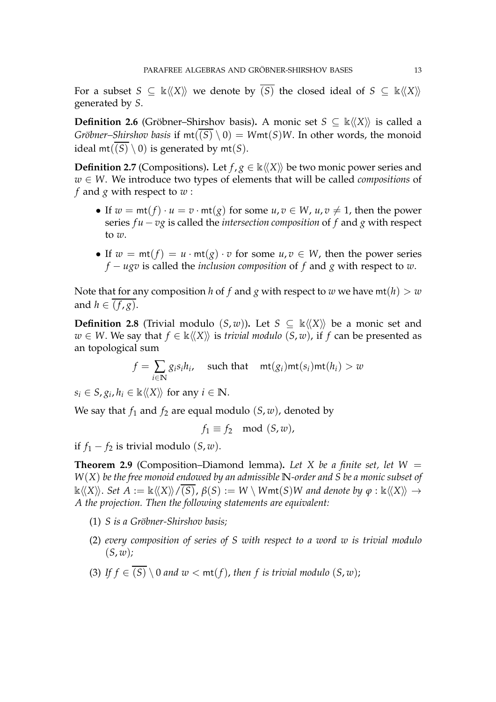For a subset  $S \subseteq \mathbb{k}\langle\langle X \rangle\rangle$  we denote by  $(S)$  the closed ideal of  $S \subseteq \mathbb{k}\langle\langle X \rangle\rangle$ generated by *S*.

**Definition 2.6** (Gröbner–Shirshov basis). A monic set  $S \subseteq \mathbb{k} \langle \langle X \rangle \rangle$  is called a *Gröbner–Shirshov basis* if  $mt(\overline{(S)} \setminus 0) = Wmt(S)W$ . In other words, the monoid ideal  $mt((S) \setminus 0)$  is generated by  $mt(S)$ .

**Definition 2.7** (Compositions). Let  $f$ ,  $g \in \mathbb{k} \langle X \rangle$  be two monic power series and *w* ∈ *W*. We introduce two types of elements that will be called *compositions* of *f* and *g* with respect to *w* :

- If  $w = \text{mt}(f) \cdot u = v \cdot \text{mt}(g)$  for some  $u, v \in W$ ,  $u, v \neq 1$ , then the power series *f u* − *vg* is called the *intersection composition* of *f* and *g* with respect to *w*.
- If  $w = mt(f) = u \cdot mt(g) \cdot v$  for some  $u, v \in W$ , then the power series *f* − *ugv* is called the *inclusion composition* of *f* and *g* with respect to *w*.

Note that for any composition *h* of *f* and *g* with respect to *w* we have  $m(t) > w$ and  $h \in \overline{(f,g)}$ .

**Definition 2.8** (Trivial modulo  $(S, w)$ ). Let  $S \subseteq \mathbb{k} \langle \langle X \rangle \rangle$  be a monic set and *w* ∈ *W*. We say that  $f \in \mathbb{k} \langle\langle X \rangle\rangle$  is *trivial modulo*  $(S, w)$ , if *f* can be presented as an topological sum

$$
f = \sum_{i \in \mathbb{N}} g_i s_i h_i, \quad \text{such that} \quad \text{mt}(g_i) \text{mt}(s_i) \text{mt}(h_i) > w
$$

 $s_i \in S$ ,  $g_i$ ,  $h_i \in \mathbb{K} \langle\langle X \rangle\rangle$  for any  $i \in \mathbb{N}$ .

We say that  $f_1$  and  $f_2$  are equal modulo  $(S, w)$ , denoted by

$$
f_1 \equiv f_2 \mod (S, w),
$$

<span id="page-12-0"></span>if  $f_1 - f_2$  is trivial modulo  $(S, w)$ .

**Theorem 2.9** (Composition–Diamond lemma). Let X be a finite set, let  $W =$ *W*(*X*) *be the free monoid endowed by an admissible* **N***-order and S be a monic subset of*  $\Bbbk\langle\langle X\rangle\rangle$ . *Set A* :=  $\Bbbk\langle\langle X\rangle\rangle/(S)$ ,  $\beta(S) := W \setminus W$ mt(*S*)*W* and denote by  $\varphi : \Bbbk\langle\langle X\rangle\rangle \rightarrow$ *A the projection. Then the following statements are equivalent:*

- (1) *S is a Gröbner-Shirshov basis;*
- (2) *every composition of series of S with respect to a word w is trivial modulo* (*S*, *w*)*;*
- (3) If  $f \in \overline{(S)} \setminus 0$  and  $w < \text{mt}(f)$ , then f is trivial modulo  $(S, w)$ ;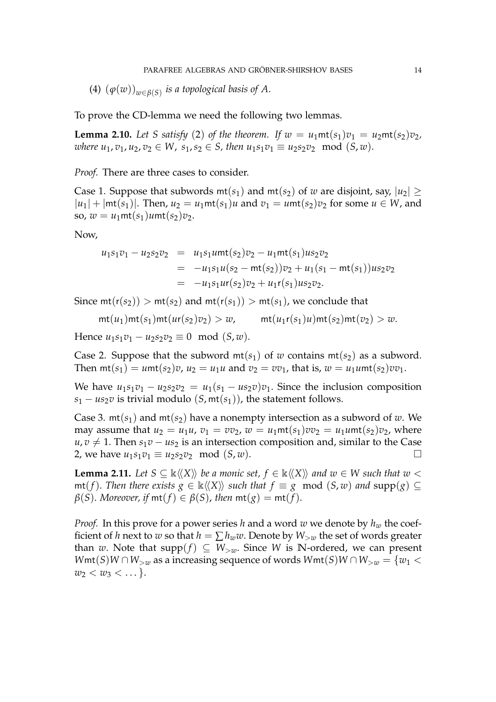(4) (*ϕ*(*w*))*w*∈*β*(*S*) *is a topological basis of A*.

<span id="page-13-0"></span>To prove the CD-lemma we need the following two lemmas.

**Lemma 2.10.** Let S satisfy (2) of the theorem. If  $w = u_1$ mt $(s_1)v_1 = u_2$ mt $(s_2)v_2$ , *where*  $u_1, v_1, u_2, v_2 \in W$ ,  $s_1, s_2 \in S$ , then  $u_1s_1v_1 \equiv u_2s_2v_2 \mod (S, w)$ .

*Proof.* There are three cases to consider.

Case 1. Suppose that subwords  $mt(s_1)$  and  $mt(s_2)$  of *w* are disjoint, say,  $|u_2| \geq$  $|u_1| + |mt(s_1)|$ . Then,  $u_2 = u_1mt(s_1)u$  and  $v_1 = umt(s_2)v_2$  for some  $u \in W$ , and so,  $w = u_1$ mt $(s_1)$ *u*mt $(s_2)v_2$ .

Now,

$$
u_1s_1v_1 - u_2s_2v_2 = u_1s_1umt(s_2)v_2 - u_1mt(s_1)us_2v_2
$$
  
= 
$$
-u_1s_1u(s_2 - mt(s_2))v_2 + u_1(s_1 - mt(s_1))us_2v_2
$$
  
= 
$$
-u_1s_1ur(s_2)v_2 + u_1r(s_1)us_2v_2.
$$

Since  $mt(r(s_2)) > mt(s_2)$  and  $mt(r(s_1)) > mt(s_1)$ , we conclude that

$$
\mathsf{mt}(u_1)\mathsf{mt}(s_1)\mathsf{mt}(u\mathsf{r}(s_2)v_2) > w, \quad \mathsf{mt}(u_1\mathsf{r}(s_1)u)\mathsf{mt}(s_2)\mathsf{mt}(v_2) > w.
$$

Hence  $u_1s_1v_1 - u_2s_2v_2 \equiv 0 \mod (S,w)$ .

Case 2. Suppose that the subword  $mt(s_1)$  of *w* contains  $mt(s_2)$  as a subword. Then  $\text{mt}(s_1) = u\text{mt}(s_2)v$ ,  $u_2 = u_1u$  and  $v_2 = vv_1$ , that is,  $w = u_1u\text{mt}(s_2)vv_1$ .

We have  $u_1s_1v_1 - u_2s_2v_2 = u_1(s_1 - us_2v)v_1$ . Since the inclusion composition  $s_1 - u s_2 v$  is trivial modulo (*S*, mt( $s_1$ )), the statement follows.

Case 3.  $mt(s_1)$  and  $mt(s_2)$  have a nonempty intersection as a subword of *w*. We may assume that  $u_2 = u_1u$ ,  $v_1 = vv_2$ ,  $w = u_1mt(s_1)vv_2 = u_1umt(s_2)v_2$ , where  $u, v \neq 1$ . Then  $s_1v - us_2$  is an intersection composition and, similar to the Case 2, we have  $u_1s_1v_1 ≡ u_2s_2v_2 \mod (S, w)$ . □

<span id="page-13-1"></span>**Lemma 2.11.** *Let*  $S \subseteq \mathbb{k}\langle\langle X \rangle\rangle$  *be a monic set,*  $f \in \mathbb{k}\langle\langle X \rangle\rangle$  *and w*  $\in$  *W such that w* <  $m(f)$ . *Then there exists*  $g \in \mathbb{k} \langle \langle X \rangle \rangle$  *such that*  $f \equiv g \mod (S, w)$  *and*  $\text{supp}(g) \subseteq g$  $\beta(S)$ . *Moreover, if*  $m(t) \in \beta(S)$ , *then*  $m(t) = m(t)$ .

*Proof.* In this prove for a power series *h* and a word *w* we denote by *h<sup>w</sup>* the coefficient of *h* next to *w* so that  $h = \sum h_w w$ . Denote by  $W_{\geq w}$  the set of words greater than *w*. Note that supp $(f) \subseteq W_{\geq w}$ . Since *W* is N-ordered, we can present *W*mt(*S*)*W* ∩ *W*<sub>>*w*</sub> as a increasing sequence of words *W*mt(*S*)*W* ∩ *W*<sub>>*w*</sub> = {*w*<sub>1</sub> <  $w_2 < w_3 < \ldots$  }.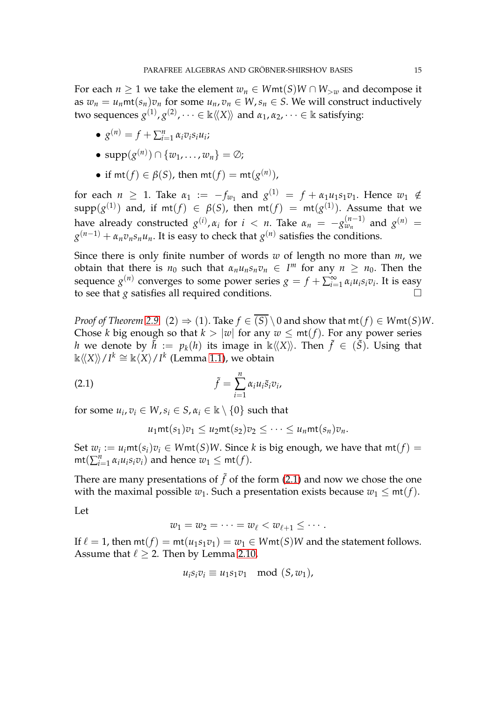For each  $n \geq 1$  we take the element  $w_n \in Wmt(S)W \cap W_{>w}$  and decompose it as  $w_n = u_n$ mt $(s_n)v_n$  for some  $u_n, v_n \in W$ ,  $s_n \in S$ . We will construct inductively two sequences  $g^{(1)}, g^{(2)}, \dots \in \Bbbk\langle\!\langle X \rangle\!\rangle$  and  $\alpha_1, \alpha_2, \dots \in \Bbbk$  satisfying:

- $g^{(n)} = f + \sum_{i=1}^{n} \alpha_i v_i s_i u_i;$
- $\text{supp}(g^{(n)}) \cap \{w_1, \ldots, w_n\} = \emptyset;$
- if  $mt(f) \in \beta(S)$ , then  $mt(f) = mt(g^{(n)})$ ,

for each  $n \ge 1$ . Take  $\alpha_1 := -f_{w_1}$  and  $g^{(1)} = f + \alpha_1 u_1 s_1 v_1$ . Hence  $w_1 \notin$  $\mathsf{supp} (g^{(1)})$  and, if  $\mathsf{mt}(f) \ \in \ \beta(\mathcal{S})$ , then  $\mathsf{mt}(f) \ = \ \mathsf{mt}(g^{(1)})$ . Assume that we have already constructed  $g^{(i)}$ ,  $\alpha_i$  for  $i$  < *n*. Take  $\alpha_n$  =  $-g^{(n-1)}_{w_n}$  $\binom{n-1}{w_n}$  and  $g^{(n)} =$  $g^{(n-1)} + \alpha_n v_n s_n u_n$ . It is easy to check that  $g^{(n)}$  satisfies the conditions.

Since there is only finite number of words *w* of length no more than *m*, we obtain that there is  $n_0$  such that  $\alpha_n u_n s_n v_n \in I^m$  for any  $n \geq n_0$ . Then the sequence  $g^{(n)}$  converges to some power series  $g = f + \sum_{i=1}^\infty g^{(n)}$  $\sum_{i=1}^{\infty} \alpha_i u_i s_i v_i$ . It is easy to see that *g* satisfies all required conditions.

*Proof of Theorem* [2.9.](#page-12-0) (2)  $\Rightarrow$  (1). Take  $f \in (S) \setminus 0$  and show that  $mt(f) \in Wmt(S)W$ . Chose *k* big enough so that  $k > |w|$  for any  $w < \text{mt}(f)$ . For any power series *h* we denote by  $\tilde{h} := p_k(h)$  its image in  $\Bbbk\langle\langle X \rangle\rangle$ . Then  $\tilde{f} \in (\tilde{S})$ . Using that  $\Bbbk \langle \langle X \rangle \rangle / I^k \cong \Bbbk \langle X \rangle / I^k$  (Lemma [1.1\)](#page-5-0), we obtain

(2.1) 
$$
\tilde{f} = \sum_{i=1}^{n} \alpha_i u_i \tilde{s}_i v_i,
$$

for some  $u_i, v_i \in W$ ,  $s_i \in S$ ,  $\alpha_i \in \mathbb{k} \setminus \{0\}$  such that

<span id="page-14-0"></span>
$$
u_1\mathsf{mt}(s_1)v_1 \leq u_2\mathsf{mt}(s_2)v_2 \leq \cdots \leq u_n\mathsf{mt}(s_n)v_n.
$$

Set  $w_i := u_i$ mt $(s_i)v_i \in W$ mt $(S)W$ . Since  $k$  is big enough, we have that  $\mathsf{mt}(f) =$  $\text{mt}(\sum_{i=1}^{n} \alpha_i u_i s_i v_i)$  and hence  $w_1 \leq \text{mt}(f)$ .

There are many presentations of  $\tilde{f}$  of the form [\(2.1\)](#page-14-0) and now we chose the one with the maximal possible  $w_1$ . Such a presentation exists because  $w_1 \leq mt(f)$ .

Let

$$
w_1=w_2=\cdots=w_\ell
$$

If  $\ell = 1$ , then  $mt(f) = mt(u_1 s_1 v_1) = w_1 \in Wmt(S)W$  and the statement follows. Assume that  $\ell > 2$ . Then by Lemma [2.10,](#page-13-0)

$$
u_i s_i v_i \equiv u_1 s_1 v_1 \mod (S, w_1),
$$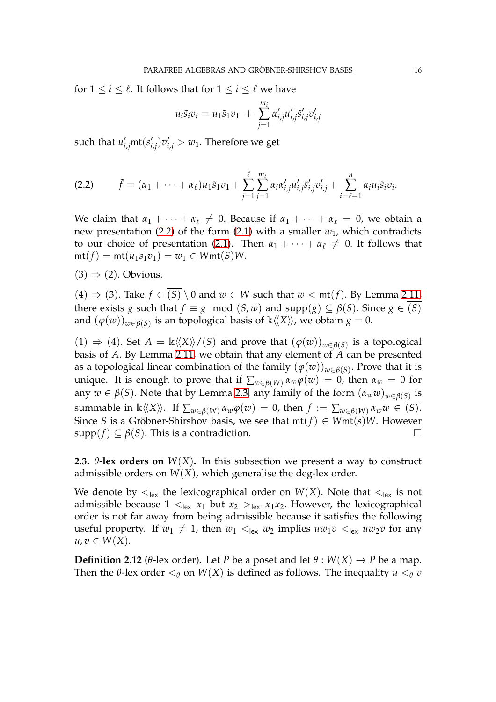for  $1 \le i \le \ell$ . It follows that for  $1 \le i \le \ell$  we have

$$
u_i \tilde{s}_i v_i = u_1 \tilde{s}_1 v_1 + \sum_{j=1}^{m_i} \alpha'_{i,j} u'_{i,j} \tilde{s}'_{i,j} v'_{i,j}
$$

such that  $u'_{i,j}$ mt $(s'_i)$  $(v'_{i,j})v'_{i,j} > w_1$ . Therefore we get

<span id="page-15-0"></span>
$$
(2.2) \qquad \tilde{f}=(\alpha_1+\cdots+\alpha_\ell)u_1\tilde{s}_1v_1+\sum_{j=1}^\ell\sum_{j=1}^{m_i}\alpha_i\alpha'_{i,j}u'_{i,j}\tilde{s}'_{i,j}v'_{i,j}+\sum_{i=\ell+1}^n\alpha_iu_i\tilde{s}_i v_i.
$$

We claim that  $\alpha_1 + \cdots + \alpha_\ell \neq 0$ . Because if  $\alpha_1 + \cdots + \alpha_\ell = 0$ , we obtain a new presentation [\(2.2\)](#page-15-0) of the form [\(2.1\)](#page-14-0) with a smaller  $w_1$ , which contradicts to our choice of presentation [\(2.1\)](#page-14-0). Then  $\alpha_1 + \cdots + \alpha_\ell \neq 0$ . It follows that  $m(t) = m t(u_1 s_1 v_1) = w_1 \in W m t(S) W.$ 

 $(3) \Rightarrow (2)$ . Obvious.

(4)  $\Rightarrow$  (3). Take *f* ∈ (*S*) \ 0 and *w* ∈ *W* such that *w* < mt(*f*). By Lemma [2.11,](#page-13-1) there exists *g* such that  $f \equiv g \mod (S, w)$  and  $\text{supp}(g) \subseteq \beta(S)$ . Since  $g \in \overline{(S)}$ and  $(\varphi(w))_{w \in \beta(S)}$  is an topological basis of  $\Bbbk \langle\langle X \rangle\rangle$ , we obtain  $g = 0$ .

(1)  $\Rightarrow$  (4). Set *A* = k $\langle\langle X\rangle\rangle/\overline{(S)}$  and prove that  $(φ(w))_{w∈β(S)}$  is a topological basis of *A*. By Lemma [2.11,](#page-13-1) we obtain that any element of *A* can be presented as a topological linear combination of the family  $(\varphi(w))_{w \in \beta(S)}.$  Prove that it is unique. It is enough to prove that if  $\sum_{w \in \beta(W)} \alpha_w \varphi(w) = 0$ , then  $\alpha_w = 0$  for any  $w \in \beta(S)$ . Note that by Lemma [2.3,](#page-10-1) any family of the form  $(\alpha_w w)_{w \in \beta(S)}$  is summable in  $\Bbbk \langle\langle X \rangle\rangle$ . If  $\sum_{w \in \beta(W)} \alpha_w \varphi(w) = 0$ , then  $f := \sum_{w \in \beta(W)} \alpha_w w \in \overline{(S)}$ . Since *S* is a Gröbner-Shirshov basis, we see that  $mt(f) \in Wmt(s)W$ . However  $\text{supp}(f) \subset \beta(S)$ . This is a contradiction.

**2.3.**  $\theta$ **-lex orders on**  $W(X)$ . In this subsection we present a way to construct admissible orders on  $W(X)$ , which generalise the deg-lex order.

We denote by  $\lt_{\text{lex}}$  the lexicographical order on  $W(X)$ . Note that  $\lt_{\text{lex}}$  is not admissible because  $1 \lt_{lex} x_1$  but  $x_2 \gt_{lex} x_1x_2$ . However, the lexicographical order is not far away from being admissible because it satisfies the following useful property. If  $w_1 \neq 1$ , then  $w_1 \lt_{\text{lex}} w_2$  implies  $uw_1v \lt_{\text{lex}} uw_2v$  for any  $u, v \in W(X)$ .

**Definition 2.12** (*θ*-lex order). Let *P* be a poset and let  $\theta$  :  $W(X) \rightarrow P$  be a map. Then the  $\theta$ -lex order  $\lt_{\theta}$  on  $W(X)$  is defined as follows. The inequality  $u \lt_{\theta} v$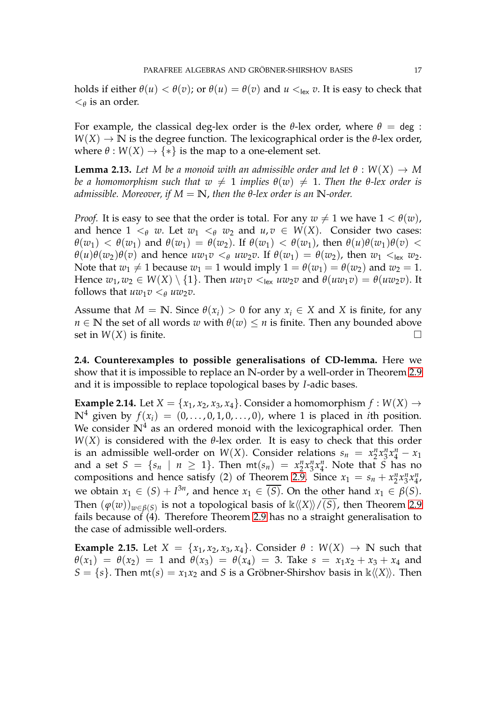holds if either  $\theta(u) < \theta(v)$ ; or  $\theta(u) = \theta(v)$  and  $u <sub>lex</sub> v$ . It is easy to check that  $\lt_{\theta}$  is an order.

For example, the classical deg-lex order is the *θ*-lex order, where  $θ = deg$ :  $W(X) \to \mathbb{N}$  is the degree function. The lexicographical order is the  $\theta$ -lex order, where  $\theta$  :  $W(X) \rightarrow \{*\}$  is the map to a one-element set.

**Lemma 2.13.** Let M be a monoid with an admissible order and let  $\theta : W(X) \to M$ *be a homomorphism such that*  $w \neq 1$  *implies*  $\theta(w) \neq 1$ . *Then the*  $\theta$ *-lex order is admissible. Moreover, if*  $M = N$ , *then the*  $\theta$ *-lex order is an*  $N$ *-order.* 

*Proof.* It is easy to see that the order is total. For any  $w \neq 1$  we have  $1 < \theta(w)$ , and hence  $1 \leq_{\theta} w$ . Let  $w_1 \leq_{\theta} w_2$  and  $u, v \in W(X)$ . Consider two cases: *θ*(*w*<sub>1</sub>) < *θ*(*w*<sub>1</sub>) and *θ*(*w*<sub>1</sub>) = *θ*(*w*<sub>2</sub>). If *θ*(*w*<sub>1</sub>) < *θ*(*w*<sub>1</sub>), then *θ*(*u*)*θ*(*w*<sub>1</sub>)*θ*(*v*) < *θ*(*u*)*θ*(*w*<sub>2</sub>)*θ*(*v*) and hence  $u w_1 v <_\theta u w_2 v$ . If  $\theta(w_1) = \theta(w_2)$ , then  $w_1 <_{\text{lex}} w_2$ . Note that  $w_1 \neq 1$  because  $w_1 = 1$  would imply  $1 = \theta(w_1) = \theta(w_2)$  and  $w_2 = 1$ . Hence  $w_1, w_2 \in W(X) \setminus \{1\}$ . Then  $uw_1v \leq_{lex} uw_2v$  and  $\theta(uw_1v) = \theta(uw_2v)$ . It follows that  $uw_1v <_\theta uw_2v$ .

Assume that  $M = \mathbb{N}$ . Since  $\theta(x_i) > 0$  for any  $x_i \in X$  and X is finite, for any *n*  $\in$  **N** the set of all words *w* with  $\theta(w) \leq n$  is finite. Then any bounded above set in  $W(X)$  is finite.

**2.4. Counterexamples to possible generalisations of CD-lemma.** Here we show that it is impossible to replace an **N**-order by a well-order in Theorem [2.9](#page-12-0) and it is impossible to replace topological bases by *I*-adic bases.

**Example 2.14.** Let  $X = \{x_1, x_2, x_3, x_4\}$ . Consider a homomorphism  $f : W(X) \rightarrow$  $\mathbb{N}^4$  given by  $f(x_i) = (0, \ldots, 0, 1, 0, \ldots, 0)$ , where 1 is placed in *i*th position. We consider  $\mathbb{N}^4$  as an ordered monoid with the lexicographical order. Then *W*(*X*) is considered with the *θ*-lex order. It is easy to check that this order is an admissible well-order on  $W(X)$ . Consider relations  $s_n = x_2^n x_3^n x_4^n - x_1$ and a set  $S = \{s_n | n \geq 1\}$ . Then  $mt(s_n) = x_2^n x_3^n x_4^n$ . Note that *S* has no compositions and hence satisfy (2) of Theorem [2.9.](#page-12-0) Since  $x_1 = s_n + x_2^n x_3^n x_4^n$ n<br>41 we obtain  $x_1 \in (S) + I^{3n}$ , and hence  $x_1 \in \overline{(S)}$ . On the other hand  $x_1 \in \beta(S)$ . Then  $(\varphi(w))_{w \in \beta(S)}$  is not a topological basis of  $\Bbbk\langle\!\langle X \rangle\!\rangle/\overline{(S)}$ , then Theorem [2.9](#page-12-0) fails because of (4). Therefore Theorem [2.9](#page-12-0) has no a straight generalisation to the case of admissible well-orders.

**Example 2.15.** Let  $X = \{x_1, x_2, x_3, x_4\}$ . Consider  $\theta : W(X) \to \mathbb{N}$  such that  $\theta(x_1) = \theta(x_2) = 1$  and  $\theta(x_3) = \theta(x_4) = 3$ . Take  $s = x_1x_2 + x_3 + x_4$  and  $S = \{s\}$ . Then  $mt(s) = x_1x_2$  and *S* is a Gröbner-Shirshov basis in  $\kappa \langle \langle X \rangle$ . Then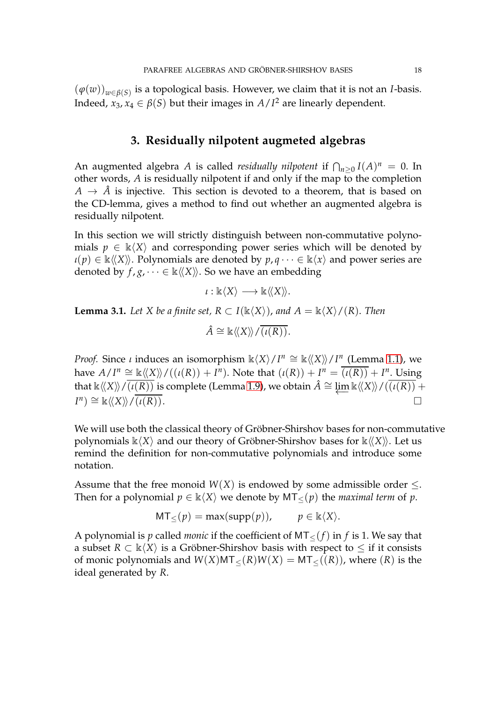$(\varphi(w))_{w \in \beta(S)}$  is a topological basis. However, we claim that it is not an *I*-basis. Indeed,  $x_3, x_4 \in \beta(S)$  but their images in  $A/I^2$  are linearly dependent.

#### **3. Residually nilpotent augmeted algebras**

An augmented algebra *A* is called *residually nilpotent* if  $\bigcap_{n\geq 0} I(A)^n = 0$ . In other words, *A* is residually nilpotent if and only if the map to the completion  $A \rightarrow \hat{A}$  is injective. This section is devoted to a theorem, that is based on the CD-lemma, gives a method to find out whether an augmented algebra is residually nilpotent.

In this section we will strictly distinguish between non-commutative polynomials  $p \in \mathbb{k}\langle X\rangle$  and corresponding power series which will be denoted by  $\iota(p) \in \kappa \langle X \rangle$ . Polynomials are denoted by  $p, q \cdots \in \kappa \langle x \rangle$  and power series are denoted by  $f, g, \dots \in \mathbb{k} \langle \langle X \rangle \rangle$ . So we have an embedding

$$
\iota: \mathbb{k}\langle X \rangle \longrightarrow \mathbb{k}\langle \langle X \rangle \rangle.
$$

<span id="page-17-0"></span>**Lemma 3.1.** *Let X be a finite set, R*  $\subset I(\mathbb{k}\langle X\rangle)$ *, and A =*  $\mathbb{k}\langle X\rangle/(R)$ *. Then*  $\hat{A} \cong \Bbbk \langle\langle X \rangle\rangle / \overline{(i(R))}.$ 

*Proof.* Since *ι* induces an isomorphism  $\mathbb{k}\langle X\rangle / I^n \cong \mathbb{k}\langle\langle X\rangle\rangle / I^n$  (Lemma [1.1\)](#page-5-0), we have  $A/I^n \cong \mathbb{k}\langle\langle X \rangle\rangle/((\iota(R)) + I^n)$ . Note that  $(\iota(R)) + I^n = \overline{(\iota(R))} + I^n$ . Using that  $\Bbbk \langle\langle X\rangle\rangle / \overline{(\iota(R))}$  is complete (Lemma [1.9\)](#page-8-1), we obtain  $\hat{A} \cong \varprojlim \Bbbk \langle\langle X\rangle\rangle / \overline{(\iota(R))} + I^n$ )  $\cong \Bbbk \langle\langle X\rangle\rangle / \overline{(\iota(R))}$  $I^{n}) \cong \mathbb{k}\langle\langle X\rangle\rangle/\overline{(i(R))}.$ 

We will use both the classical theory of Gröbner-Shirshov bases for non-commutative polynomials  $\kappa\langle X\rangle$  and our theory of Gröbner-Shirshov bases for  $\kappa\langle\langle X\rangle\rangle$ . Let us remind the definition for non-commutative polynomials and introduce some notation.

Assume that the free monoid  $W(X)$  is endowed by some admissible order  $\leq$ . Then for a polynomial  $p \in \mathbb{k}\langle X \rangle$  we denote by MT<sub><</sub>(*p*) the *maximal term* of *p*.

$$
MT_{\leq}(p) = \max(\text{supp}(p)), \qquad p \in \mathbb{k}\langle X \rangle.
$$

A polynomial is *p* called *monic* if the coefficient of  $MT<sub>≤</sub>(f)$  in *f* is 1. We say that a subset  $R \subset \mathbb{k}\langle X \rangle$  is a Gröbner-Shirshov basis with respect to  $\leq$  if it consists of monic polynomials and  $W(X)MT<sub><(</sub>(R)W(X) = MT<sub>>(</sub>(R))$ , where (*R*) is the ideal generated by *R*.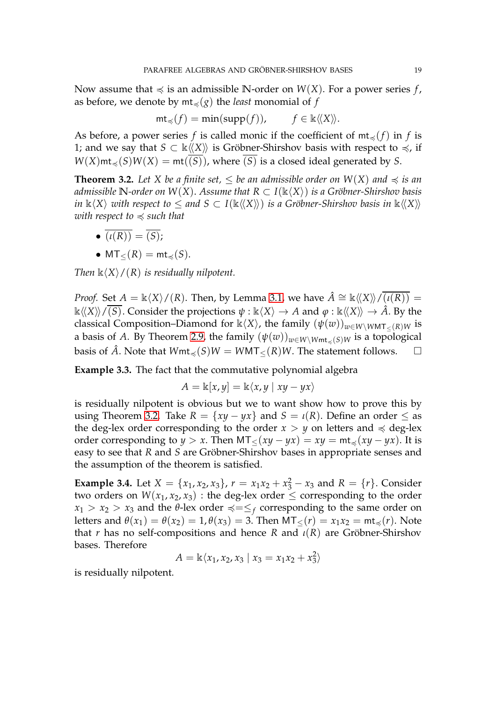Now assume that  $\preccurlyeq$  is an admissible N-order on *W*(*X*). For a power series *f*, as before, we denote by  $m t<sub>\preccurlyeq</sub>(g)$  the *least* monomial of *f* 

$$
mt_{\preccurlyeq}(f) = \min(\text{supp}(f)), \qquad f \in \mathbb{k} \langle \langle X \rangle \rangle.
$$

As before, a power series *f* is called monic if the coefficient of  $mt_{\leq}(f)$  in *f* is 1; and we say that  $S \subset \mathbb{k}\langle\langle X \rangle\rangle$  is Gröbner-Shirshov basis with respect to  $\preccurlyeq$ , if  $W(X)$ mt<sub> $\preccurlyeq$ </sub>(*S*) $W(X) = \text{mt}(\overline{(S)})$ , where  $\overline{(S)}$  is a closed ideal generated by *S*.

<span id="page-18-0"></span>**Theorem 3.2.** Let X be a finite set,  $\leq$  be an admissible order on  $W(X)$  and  $\leq$  is an *admissible*  $\mathbb{N}$ -order on  $W(X)$ . Assume that  $R \subset I(\mathbb{k}\langle X\rangle)$  *is a Gröbner-Shirshov basis in*  $\Bbbk \langle X \rangle$  *with respect to*  $\le$  *and*  $S \subset I(\Bbbk \langle \langle X \rangle \rangle)$  *is a Gröbner-Shirshov basis in*  $\Bbbk \langle \langle X \rangle \rangle$ *with respect to*  $\preccurlyeq$  *such that* 

 $\bullet \, \overline{(i(R))} = \overline{(S)};$ 

• 
$$
MT_{\leq}(R) = mt_{\preccurlyeq}(S)
$$
.

*Then*  $\mathbb{k}\langle X\rangle/(R)$  *is residually nilpotent.* 

*Proof.* Set  $A = \mathbb{k}\langle X\rangle/(R)$ . Then, by Lemma [3.1,](#page-17-0) we have  $\hat{A} \cong \mathbb{k}\langle\langle X\rangle\rangle/\overline{(I(R))} =$  $\kappa\langle\langle X \rangle\rangle/\langle\overline{S}\rangle$ . Consider the projections  $\psi : \kappa\langle X \rangle \to A$  and  $\varphi : \kappa\langle\langle X \rangle\rangle \to \hat{A}$ . By the classical Composition–Diamond for  $\kappa\langle X\rangle$ , the family  $(\psi(w))_{w\in W\setminus W\text{MT}_{\leq}(R)W}$  is a basis of *A*. By Theorem [2.9,](#page-12-0) the family  $(\psi(w))_{w \in W \setminus W \setminus W \setminus H}$  is a topological basis of  $\hat{A}$ . Note that  $Wmt_{\preceq}(S)W = WMT_{\preceq}(R)W$ . The statement follows. □

**Example 3.3.** The fact that the commutative polynomial algebra

$$
A = \mathbb{k}[x, y] = \mathbb{k}\langle x, y \mid xy - yx \rangle
$$

is residually nilpotent is obvious but we to want show how to prove this by using Theorem [3.2.](#page-18-0) Take  $R = \{xy - yx\}$  and  $S = \iota(R)$ . Define an order  $\leq$  as the deg-lex order corresponding to the order  $x > y$  on letters and  $\preccurlyeq$  deg-lex order corresponding to *y* > *x*. Then  $MT < (xy - yx) = xy = mt < (xy - yx)$ . It is easy to see that *R* and *S* are Gröbner-Shirshov bases in appropriate senses and the assumption of the theorem is satisfied.

<span id="page-18-1"></span>**Example 3.4.** Let  $X = \{x_1, x_2, x_3\}$ ,  $r = x_1x_2 + x_3^2 - x_3$  and  $R = \{r\}$ . Consider two orders on  $W(x_1, x_2, x_3)$ : the deg-lex order  $\leq$  corresponding to the order  $x_1 > x_2 > x_3$  and the *θ*-lex order  $\preccurlyeq = \preceq_f$  corresponding to the same order on letters and  $\theta(x_1) = \theta(x_2) = 1$ ,  $\theta(x_3) = 3$ . Then  $MT<(r) = x_1x_2 = mt_{\preccurlyeq}(r)$ . Note that *r* has no self-compositions and hence *R* and *ι*(*R*) are Gröbner-Shirshov bases. Therefore

$$
A = \mathbb{k}\langle x_1, x_2, x_3 \mid x_3 = x_1x_2 + x_3^2 \rangle
$$

is residually nilpotent.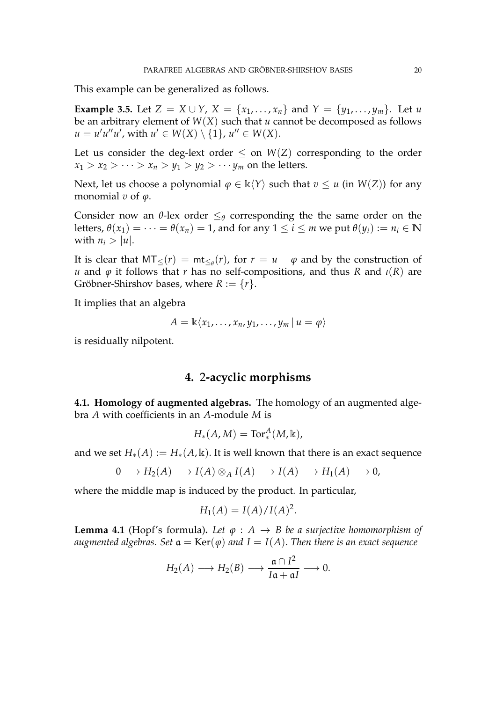This example can be generalized as follows.

**Example 3.5.** Let  $Z = X \cup Y$ ,  $X = \{x_1, ..., x_n\}$  and  $Y = \{y_1, ..., y_m\}$ . Let *u* be an arbitrary element of *W*(*X*) such that *u* cannot be decomposed as follows  $u = u'u''u'$ , with  $u' \in W(X) \setminus \{1\}$ ,  $u'' \in W(X)$ .

Let us consider the deg-lext order  $\leq$  on  $W(Z)$  corresponding to the order  $x_1 > x_2 > \cdots > x_n > y_1 > y_2 > \cdots y_m$  on the letters.

Next, let us choose a polynomial  $\varphi \in \mathbb{k}\langle Y \rangle$  such that  $v \leq u$  (in  $W(Z)$ ) for any monomial *v* of *ϕ*.

Consider now an  $\theta$ -lex order  $\leq_{\theta}$  corresponding the the same order on the letters,  $\theta(x_1) = \cdots = \theta(x_n) = 1$ , and for any  $1 \le i \le m$  we put  $\theta(y_i) := n_i \in \mathbb{N}$ with  $n_i > |u|$ .

It is clear that  $MT_{\leq}(r) = mt_{\leq_{\theta}}(r)$ , for  $r = u - \varphi$  and by the construction of *u* and *φ* it follows that *r* has no self-compositions, and thus *R* and *ι*(*R*) are Gröbner-Shirshov bases, where  $R := \{r\}.$ 

It implies that an algebra

$$
A = \mathbb{k}\langle x_1,\ldots,x_n,y_1,\ldots,y_m\,|\,u=\varphi\rangle
$$

is residually nilpotent.

#### **4.** 2**-acyclic morphisms**

**4.1. Homology of augmented algebras.** The homology of an augmented algebra *A* with coefficients in an *A*-module *M* is

$$
H_*(A,M) = \text{Tor}_*^A(M,\mathbb{k}),
$$

and we set  $H_*(A) := H_*(A, \mathbb{k})$ . It is well known that there is an exact sequence

$$
0 \longrightarrow H_2(A) \longrightarrow I(A) \otimes_A I(A) \longrightarrow I(A) \longrightarrow H_1(A) \longrightarrow 0,
$$

where the middle map is induced by the product. In particular,

$$
H_1(A) = I(A)/I(A)^2.
$$

<span id="page-19-0"></span>**Lemma 4.1** (Hopf's formula). Let  $\varphi : A \rightarrow B$  be a surjective homomorphism of *augmented algebras.* Set  $a = \text{Ker}(\varphi)$  *and*  $I = I(A)$ *. Then there is an exact sequence* 

$$
H_2(A) \longrightarrow H_2(B) \longrightarrow \frac{\mathfrak{a} \cap I^2}{I\mathfrak{a} + \mathfrak{a}I} \longrightarrow 0.
$$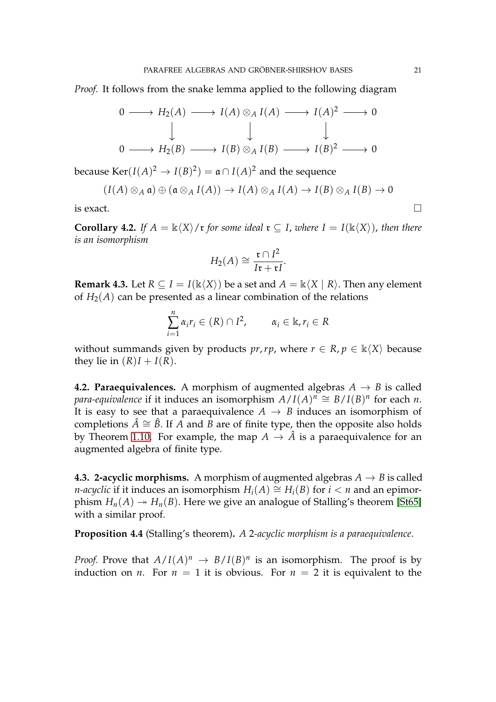*Proof.* It follows from the snake lemma applied to the following diagram

$$
0 \longrightarrow H_2(A) \longrightarrow I(A) \otimes_A I(A) \longrightarrow I(A)^2 \longrightarrow 0
$$
  

$$
\downarrow \qquad \qquad \downarrow \qquad \qquad \downarrow
$$
  

$$
0 \longrightarrow H_2(B) \longrightarrow I(B) \otimes_A I(B) \longrightarrow I(B)^2 \longrightarrow 0
$$

because  $\text{Ker}(I(A)^2 \to I(B)^2) = \mathfrak{a} \cap I(A)^2$  and the sequence

$$
(I(A) \otimes_A \mathfrak{a}) \oplus (\mathfrak{a} \otimes_A I(A)) \to I(A) \otimes_A I(A) \to I(B) \otimes_A I(B) \to 0
$$

is exact.

**Corollary 4.2.** *If*  $A = \mathbb{k}\langle X \rangle / \mathfrak{r}$  *for some ideal*  $\mathfrak{r} \subseteq I$ *, where*  $I = I(\mathbb{k}\langle X \rangle)$ *, then there is an isomorphism*

$$
H_2(A) \cong \frac{\mathfrak{r} \cap I^2}{I\mathfrak{r} + \mathfrak{r} I}.
$$

<span id="page-20-0"></span>**Remark 4.3.** Let  $R \subseteq I = I(\mathbb{k}\langle X \rangle)$  be a set and  $A = \mathbb{k}\langle X | R \rangle$ . Then any element of  $H_2(A)$  can be presented as a linear combination of the relations

$$
\sum_{i=1}^n \alpha_i r_i \in (R) \cap I^2, \qquad \alpha_i \in \mathbb{R}, r_i \in R
$$

without summands given by products *pr*,*rp*, where  $r \in R$ ,  $p \in \mathbb{k}\langle X \rangle$  because they lie in  $(R)I + I(R)$ .

**4.2. Paraequivalences.** A morphism of augmented algebras  $A \rightarrow B$  is called *para-equivalence* if it induces an isomorphism  $A/I(A)^n \cong B/I(B)^n$  for each *n*. It is easy to see that a paraequivalence  $A \rightarrow B$  induces an isomorphism of completions  $\hat{A} \cong \hat{B}$ . If *A* and *B* are of finite type, then the opposite also holds by Theorem [1.10.](#page-8-0) For example, the map  $A \to \hat{A}$  is a paraequivalence for an augmented algebra of finite type.

**4.3. 2-acyclic morphisms.** A morphism of augmented algebras  $A \rightarrow B$  is called *n-acyclic* if it induces an isomorphism  $H_i(A) \cong H_i(B)$  for  $i < n$  and an epimorphism  $H_n(A) \rightarrow H_n(B)$ . Here we give an analogue of Stalling's theorem [\[St65\]](#page-28-11) with a similar proof.

**Proposition 4.4** (Stalling's theorem)**.** *A* 2*-acyclic morphism is a paraequivalence.*

*Proof.* Prove that  $A/I(A)^n \to B/I(B)^n$  is an isomorphism. The proof is by induction on *n*. For  $n = 1$  it is obvious. For  $n = 2$  it is equivalent to the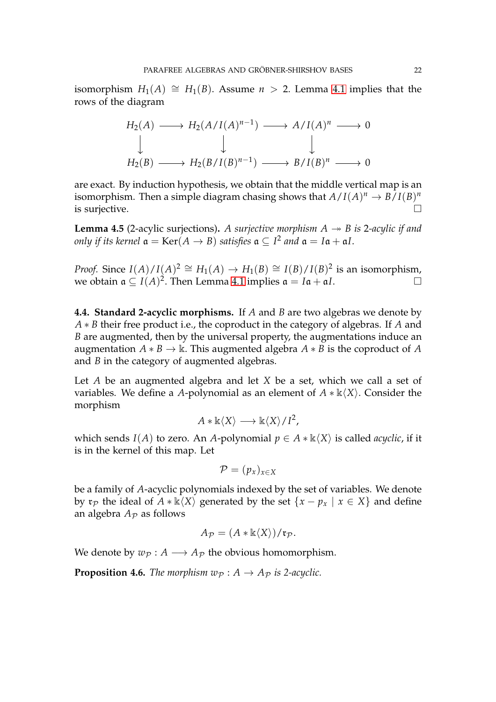isomorphism  $H_1(A) \cong H_1(B)$ . Assume  $n > 2$ . Lemma [4.1](#page-19-0) implies that the rows of the diagram

$$
H_2(A) \longrightarrow H_2(A/I(A)^{n-1}) \longrightarrow A/I(A)^n \longrightarrow 0
$$
  
\n
$$
\downarrow \qquad \qquad \downarrow
$$
  
\n
$$
H_2(B) \longrightarrow H_2(B/I(B)^{n-1}) \longrightarrow B/I(B)^n \longrightarrow 0
$$

are exact. By induction hypothesis, we obtain that the middle vertical map is an isomorphism. Then a simple diagram chasing shows that  $A/I(A)^n \to B/I(B)^n$ is surjective.

**Lemma 4.5** (2-acylic surjections). A surjective morphism  $A \rightarrow B$  is 2-acylic if and *only if its kernel*  $\mathfrak{a} = \mathrm{Ker}(A \to B)$  *satisfies*  $\mathfrak{a} \subseteq I^2$  *and*  $\mathfrak{a} = I\mathfrak{a} + \mathfrak{a}I$ *.* 

*Proof.* Since  $I(A)/I(A)^2 \cong H_1(A) \to H_1(B) \cong I(B)/I(B)^2$  is an isomorphism, we obtain  $\mathfrak{a} \subseteq I(A)^2$ . Then Lemma [4.1](#page-19-0) implies  $\mathfrak{a} = I\mathfrak{a} + \mathfrak{a}I$ . □

**4.4. Standard 2-acyclic morphisms.** If *A* and *B* are two algebras we denote by *A* ∗ *B* their free product i.e., the coproduct in the category of algebras. If *A* and *B* are augmented, then by the universal property, the augmentations induce an augmentation  $A * B \to \mathbb{k}$ . This augmented algebra  $A * B$  is the coproduct of A and *B* in the category of augmented algebras.

Let *A* be an augmented algebra and let *X* be a set, which we call a set of variables. We define a *A*-polynomial as an element of  $A * k\langle X \rangle$ . Consider the morphism

$$
A * \mathbb{k}\langle X \rangle \longrightarrow \mathbb{k}\langle X \rangle / I^2,
$$

which sends *I*(*A*) to zero. An *A*-polynomial  $p \in A * \mathbb{k}\langle X \rangle$  is called *acyclic*, if it is in the kernel of this map. Let

$$
\mathcal{P}=(p_x)_{x\in X}
$$

be a family of *A*-acyclic polynomials indexed by the set of variables. We denote by  $\mathfrak{r}_p$  the ideal of  $A * \mathbb{k}\langle X \rangle$  generated by the set  $\{x - p_x \mid x \in X\}$  and define an algebra  $A_{\mathcal{P}}$  as follows

$$
A_{\mathcal{P}} = (A * \mathbb{k}\langle X \rangle) / \mathfrak{r}_{\mathcal{P}}.
$$

<span id="page-21-0"></span>We denote by  $w_{\mathcal{P}}: A \longrightarrow A_{\mathcal{P}}$  the obvious homomorphism.

**Proposition 4.6.** *The morphism*  $w_{\mathcal{P}}: A \rightarrow A_{\mathcal{P}}$  *is 2-acyclic.*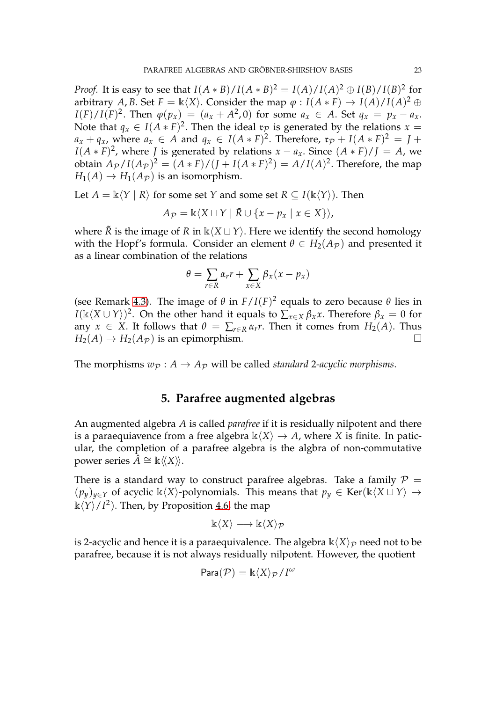*Proof.* It is easy to see that  $I(A * B) / I(A * B)^2 = I(A) / I(A)^2 \oplus I(B) / I(B)^2$  for arbitrary *A*, *B*. Set  $F = \mathbb{k}\langle X \rangle$ . Consider the map  $\varphi : I(A * F) \to I(A)/I(A)^2 \oplus I(A)$  $I(F)/I(F)^2$ . Then  $\varphi(p_x) = (a_x + A^2, 0)$  for some  $a_x \in A$ . Set  $q_x = p_x - a_x$ . Note that  $q_x \in I(A*F)^2$ . Then the ideal  $\mathfrak{r}_p$  is generated by the relations  $x =$  $a_x + q_x$ , where  $a_x \in A$  and  $q_x \in I(A * F)^2$ . Therefore,  $\mathfrak{r}_{\mathcal{P}} + I(A * F)^2 = J + I(A * F)^2$  $I(A * F)^2$ , where *J* is generated by relations  $x - a_x$ . Since  $(A * F)/J = A$ , we obtain  $A_{\mathcal{P}}/I(A_{\mathcal{P}})^2 = (A * F)/(J + I(A * F)^2) = A/I(A)^2$ . Therefore, the map  $H_1(A) \to H_1(A_{\mathcal{P}})$  is an isomorphism.

Let  $A = \mathbb{k}\langle Y | R \rangle$  for some set *Y* and some set  $R \subseteq I(\mathbb{k}\langle Y \rangle)$ . Then

$$
A_{\mathcal{P}} = \mathbb{k}\langle X \sqcup Y \mid \tilde{R} \cup \{x - p_x \mid x \in X\}\rangle,
$$

where  $\overline{R}$  is the image of  $R$  in  $\mathbb{k}\langle X \sqcup Y \rangle$ . Here we identify the second homology with the Hopf's formula. Consider an element  $\theta \in H_2(A_{\mathcal{P}})$  and presented it as a linear combination of the relations

$$
\theta = \sum_{r \in R} \alpha_r r + \sum_{x \in X} \beta_x (x - p_x)
$$

(see Remark [4.3\)](#page-20-0). The image of  $\theta$  in  $F/I(F)^2$  equals to zero because  $\theta$  lies in *I*( $\Bbbk \langle X \cup Y \rangle$ )<sup>2</sup>. On the other hand it equals to  $\sum_{x \in X} \beta_x x$ . Therefore  $\beta_x = 0$  for any  $x \in X$ . It follows that  $\theta = \sum_{r \in R} \alpha_r r$ . Then it comes from  $H_2(A)$ . Thus  $H_2(A) \rightarrow H_2(A_{\mathcal{P}})$  is an epimorphism.

The morphisms  $w_{\mathcal{P}}: A \rightarrow A_{\mathcal{P}}$  will be called *standard* 2-acyclic morphisms.

# **5. Parafree augmented algebras**

An augmented algebra *A* is called *parafree* if it is residually nilpotent and there is a paraequiavence from a free algebra  $\mathbb{k}\langle X\rangle \to A$ , where *X* is finite. In paticular, the completion of a parafree algebra is the algbra of non-commutative power series  $\hat{A} \cong \mathbb{k} \langle \langle X \rangle \rangle$ .

There is a standard way to construct parafree algebras. Take a family  $\mathcal{P} =$  $(p_y)_{y \in Y}$  of acyclic k $\langle X \rangle$ -polynomials. This means that  $p_y \in \text{Ker}(\mathbb{k}\langle X \sqcup Y \rangle \rightarrow$  $\mathbb{k}\langle Y\rangle / I^2$ ). Then, by Proposition [4.6,](#page-21-0) the map

$$
\Bbbk\langle X\rangle\longrightarrow \Bbbk\langle X\rangle_{\mathcal{P}}
$$

is 2-acyclic and hence it is a paraequivalence. The algebra  $\mathbb{k}\langle X\rangle_{\mathcal{P}}$  need not to be parafree, because it is not always residually nilpotent. However, the quotient

$$
\mathsf{Para}(\mathcal{P}) = \Bbbk \langle X \rangle_{\mathcal{P}} / I^{\omega}
$$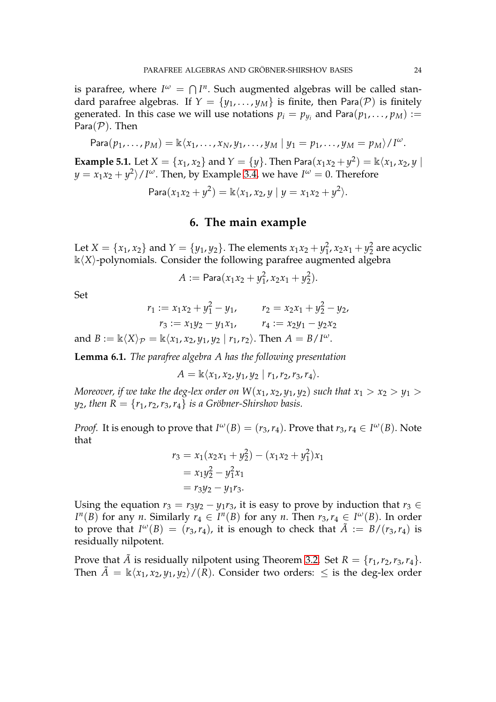is parafree, where  $I^{\omega} = \bigcap I^{n}$ . Such augmented algebras will be called standard parafree algebras. If  $Y = \{y_1, \ldots, y_M\}$  is finite, then Para(P) is finitely generated. In this case we will use notations  $p_i = p_{y_i}$  and Para $(p_1, \ldots, p_M) :=$ Para $(\mathcal{P})$ . Then

$$
\text{Para}(p_1,\ldots,p_M)=\mathbb{k}\langle x_1,\ldots,x_N,y_1,\ldots,y_M\mid y_1=p_1,\ldots,y_M=p_M\rangle/I^{\omega}.
$$

**Example 5.1.** Let  $X = \{x_1, x_2\}$  and  $Y = \{y\}$ . Then Para $(x_1x_2 + y^2) = \Bbbk \langle x_1, x_2, y \rangle$  $y = x_1 x_2 + y^2 / I^{\omega}$ . Then, by Example [3.4,](#page-18-1) we have  $I^{\omega} = 0$ . Therefore

 $\text{Para}(x_1x_2 + y^2) = \mathbb{k}\langle x_1, x_2, y \mid y = x_1x_2 + y^2 \rangle.$ 

#### **6. The main example**

Let  $X = \{x_1, x_2\}$  and  $Y = \{y_1, y_2\}$ . The elements  $x_1x_2 + y_1^2$  $x_1^2$ ,  $x_2x_1 + y_2^2$  $\frac{2}{2}$  are acyclic  $k\langle X\rangle$ -polynomials. Consider the following parafree augmented algebra

$$
A := \mathsf{Para}(x_1x_2 + y_1^2, x_2x_1 + y_2^2).
$$

Set

$$
r_1 := x_1 x_2 + y_1^2 - y_1, \qquad r_2 = x_2 x_1 + y_2^2 - y_2,
$$
  
\n
$$
r_3 := x_1 y_2 - y_1 x_1, \qquad r_4 := x_2 y_1 - y_2 x_2
$$
  
\nand  $B := \mathbb{k} \langle X \rangle_{\mathcal{P}} = \mathbb{k} \langle x_1, x_2, y_1, y_2 | r_1, r_2 \rangle$ . Then  $A = B/I^{\omega}$ .

**Lemma 6.1.** *The parafree algebra A has the following presentation*

$$
A = \mathbb{k}\langle x_1, x_2, y_1, y_2 | r_1, r_2, r_3, r_4 \rangle.
$$

*Moreover, if we take the deg-lex order on*  $W(x_1, x_2, y_1, y_2)$  *such that*  $x_1 > x_2 > y_1 > y_2$ *y*<sub>2</sub>, *then*  $R = \{r_1, r_2, r_3, r_4\}$  *is a Gröbner-Shirshov basis.* 

*Proof.* It is enough to prove that  $I^{\omega}(B) = (r_3, r_4)$ . Prove that  $r_3, r_4 \in I^{\omega}(B)$ . Note that

$$
r_3 = x_1(x_2x_1 + y_2^2) - (x_1x_2 + y_1^2)x_1
$$
  
=  $x_1y_2^2 - y_1^2x_1$   
=  $r_3y_2 - y_1r_3$ .

Using the equation  $r_3 = r_3y_2 - y_1r_3$ , it is easy to prove by induction that  $r_3 \in$ *I*<sup>*n*</sup>(*B*) for any *n*. Similarly  $r_4 \in I^n(B)$  for any *n*. Then  $r_3, r_4 \in I^{\omega}(B)$ . In order to prove that  $I^{\omega}(B) = (r_3, r_4)$ , it is enough to check that  $\tilde{A} := B/(r_3, r_4)$  is residually nilpotent.

Prove that  $\tilde{A}$  is residually nilpotent using Theorem [3.2.](#page-18-0) Set  $R = \{r_1, r_2, r_3, r_4\}.$ Then  $\tilde{A} = \mathbb{k}\langle x_1, x_2, y_1, y_2\rangle / (R)$ . Consider two orders:  $\leq$  is the deg-lex order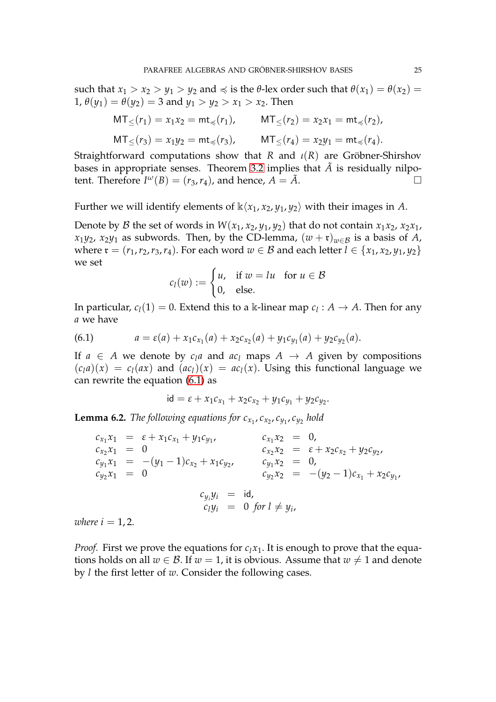such that  $x_1 > x_2 > y_1 > y_2$  and  $\preccurlyeq$  is the *θ*-lex order such that  $\theta(x_1) = \theta(x_2) =$ 1,  $\theta(y_1) = \theta(y_2) = 3$  and  $y_1 > y_2 > x_1 > x_2$ . Then

$$
MT_{\leq}(r_1) = x_1 x_2 = mt_{\preccurlyeq}(r_1), \qquad MT_{\leq}(r_2) = x_2 x_1 = mt_{\preccurlyeq}(r_2),
$$
  

$$
MT_{\leq}(r_3) = x_1 y_2 = mt_{\preccurlyeq}(r_3), \qquad MT_{\leq}(r_4) = x_2 y_1 = mt_{\preccurlyeq}(r_4).
$$

Straightforward computations show that *R* and *ι*(*R*) are Gröbner-Shirshov bases in appropriate senses. Theorem [3.2](#page-18-0) implies that  $\tilde{A}$  is residually nilpotent. Therefore  $I^{\omega}(B) = (r_3, r_4)$ , and hence,  $A = \tilde{A}$ .

Further we will identify elements of  $\kappa\langle x_1, x_2, y_1, y_2 \rangle$  with their images in *A*.

Denote by B the set of words in  $W(x_1, x_2, y_1, y_2)$  that do not contain  $x_1x_2, x_2x_1$ , *x*<sub>1</sub>*y*<sub>2</sub>, *x*<sub>2</sub>*y*<sub>1</sub> as subwords. Then, by the CD-lemma,  $(w + r)_{w \in B}$  is a basis of *A*, where  $\mathfrak{r} = (r_1, r_2, r_3, r_4)$ . For each word  $w \in \mathcal{B}$  and each letter  $l \in \{x_1, x_2, y_1, y_2\}$ we set

$$
c_l(w) := \begin{cases} u, & \text{if } w = lu \quad \text{for } u \in \mathcal{B} \\ 0, & \text{else.} \end{cases}
$$

In particular,  $c_l(1) = 0$ . Extend this to a k-linear map  $c_l : A \to A$ . Then for any *a* we have

<span id="page-24-0"></span>(6.1) 
$$
a = \varepsilon(a) + x_1 c_{x_1}(a) + x_2 c_{x_2}(a) + y_1 c_{y_1}(a) + y_2 c_{y_2}(a).
$$

If  $a \in A$  we denote by  $c_l a$  and  $ac_l$  maps  $A \rightarrow A$  given by compositions  $(c<sub>l</sub>a)(x) = c<sub>l</sub>(ax)$  and  $(ac<sub>l</sub>)(x) = ac<sub>l</sub>(x)$ . Using this functional language we can rewrite the equation [\(6.1\)](#page-24-0) as

$$
id = \varepsilon + x_1 c_{x_1} + x_2 c_{x_2} + y_1 c_{y_1} + y_2 c_{y_2}.
$$

<span id="page-24-1"></span>**Lemma 6.2.** The following equations for  $c_{x_1}$ ,  $c_{x_2}$ ,  $c_{y_1}$ ,  $c_{y_2}$  hold

 $c_{x_1}x_1 = \varepsilon + x_1c_{x_1} + y_1c_{y_1}$ ,  $c_{x_1}x_2 = 0$ ,  $c_{x_2}x_1 = 0$ ,  $c_{x_2}x_2 = \varepsilon + x_2c_{x_2} + y_2c_{y_2}$  $c_{y_1}x_1 = -(y_1 - 1)c_{x_2} + x_1c_{y_2}, \qquad c_{y_1}x_2 = 0,$  $c_{y_2}x_1 = 0$   $c_{y_2}x_2 = -(y_2 - 1)c_{x_1} + x_2c_{y_1}$  $c_{y_i} y_i = id$  $c_l y_i = 0$  for  $l \neq y_i$ ,

*where*  $i = 1, 2$ .

*Proof.* First we prove the equations for  $c_l x_l$ . It is enough to prove that the equations holds on all  $w \in \mathcal{B}$ . If  $w = 1$ , it is obvious. Assume that  $w \neq 1$  and denote by *l* the first letter of *w*. Consider the following cases.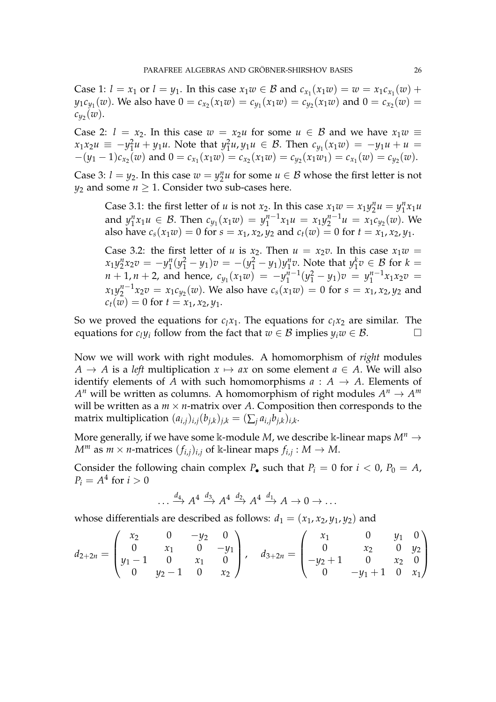Case 1:  $l = x_1$  or  $l = y_1$ . In this case  $x_1w \in B$  and  $c_{x_1}(x_1w) = w = x_1c_{x_1}(w) +$  $y_1c_{y_1}(w)$ . We also have  $0 = c_{x_2}(x_1w) = c_{y_1}(x_1w) = c_{y_2}(x_1w)$  and  $0 = c_{x_2}(w) = 0$  $c_{y_2}(w)$ .

Case 2:  $l = x_2$ . In this case  $w = x_2u$  for some  $u \in B$  and we have  $x_1w \equiv$  $x_1 x_2 u \equiv -y_1^2$  $\frac{2}{1}u + y_1u$ . Note that  $y_1^2$  $I_1^2 u, \, y_1 u \in \mathcal{B}$ . Then  $c_{y_1}(x_1 w) = -y_1 u + u =$  $-(y_1-1)c_{x_2}(w)$  and  $0=c_{x_1}(x_1w)=c_{x_2}(x_1w)=c_{y_2}(x_1w_1)=c_{x_1}(w)=c_{y_2}(w)$ .

Case 3:  $l = y_2$ . In this case  $w = y_2^n u$  for some  $u \in \mathcal{B}$  whose the first letter is not *y*<sub>2</sub> and some  $n \geq 1$ . Consider two sub-cases here.

Case 3.1: the first letter of *u* is not  $x_2$ . In this case  $x_1w = x_1y_2^n u = y_1^n x_1u$  $2^{\mu} - y_1$ and  $y_1^n$  $x_1^n x_1 u \in B$ . Then  $c_{y_1}(x_1w) = y_1^{n-1}$  $\chi_1^{n-1}x_1u = x_1y_2^{n-1}$  $y_2^{n-1}u = x_1c_{y_2}(w)$ . We also have  $c_s(x_1w) = 0$  for  $s = x_1, x_2, y_2$  and  $c_t(w) = 0$  for  $t = x_1, x_2, y_1$ .

Case 3.2: the first letter of *u* is  $x_2$ . Then  $u = x_2v$ . In this case  $x_1w =$  $x_1 y_2^n x_2 v = -y_1^n$  $j_1^n(y_1^2 - y_1)v = -(y_1^2 - y_1)y_1^n$  $y_1^n$ *v*. Note that  $y_1^k$  $y_1^k v \in \mathcal{B}$  for  $k =$  $n + 1, n + 2$ , and hence,  $c_{y_1}(x_1w) = -y_1^{n-1}$  $y_1^{n-1}(y_1^2 - y_1)v = y_1^{n-1}$  $x_1^{n-1}x_1x_2v =$  $x_1y_2^{n-1}$  $\int_{2}^{n-1} x_{2}v = x_{1}c_{y_{2}}(w)$ . We also have  $c_{s}(x_{1}w) = 0$  for  $s = x_{1}, x_{2}, y_{2}$  and  $c_t(w) = 0$  for  $t = x_1, x_2, y_1$ .

So we proved the equations for  $c_1x_1$ . The equations for  $c_1x_2$  are similar. The equations for  $c_l y_i$  follow from the fact that  $w \in \mathcal{B}$  implies  $y_i w \in \mathcal{B}$ .

Now we will work with right modules. A homomorphism of *right* modules  $A \rightarrow A$  is a *left* multiplication  $x \mapsto ax$  on some element  $a \in A$ . We will also identify elements of *A* with such homomorphisms  $a : A \rightarrow A$ . Elements of  $A^n$  will be written as columns. A homomorphism of right modules  $A^n \to A^m$ will be written as a  $m \times n$ -matrix over A. Composition then corresponds to the matrix multiplication  $(a_{i,j})_{i,j}(b_{j,k})_{j,k} = (\sum_j a_{i,j}b_{j,k})_{i,k}.$ 

More generally, if we have some k-module *M*, we describe k-linear maps  $M^n \to$  $M^m$  as  $m \times n$ -matrices  $(f_{i,j})_{i,j}$  of k-linear maps  $f_{i,j}: M \to M$ .

Consider the following chain complex  $P_{\bullet}$  such that  $P_i = 0$  for  $i < 0$ ,  $P_0 = A$ ,  $P_i = A^4$  for  $i > 0$ 

$$
\dots \xrightarrow{d_4} A^4 \xrightarrow{d_3} A^4 \xrightarrow{d_2} A^4 \xrightarrow{d_1} A \to 0 \to \dots
$$

whose differentials are described as follows:  $d_1 = (x_1, x_2, y_1, y_2)$  and

$$
d_{2+2n} = \begin{pmatrix} x_2 & 0 & -y_2 & 0 \ 0 & x_1 & 0 & -y_1 \ y_1 - 1 & 0 & x_1 & 0 \ 0 & y_2 - 1 & 0 & x_2 \end{pmatrix}, \quad d_{3+2n} = \begin{pmatrix} x_1 & 0 & y_1 & 0 \ 0 & x_2 & 0 & y_2 \ -y_2 + 1 & 0 & x_2 & 0 \ 0 & -y_1 + 1 & 0 & x_1 \end{pmatrix}
$$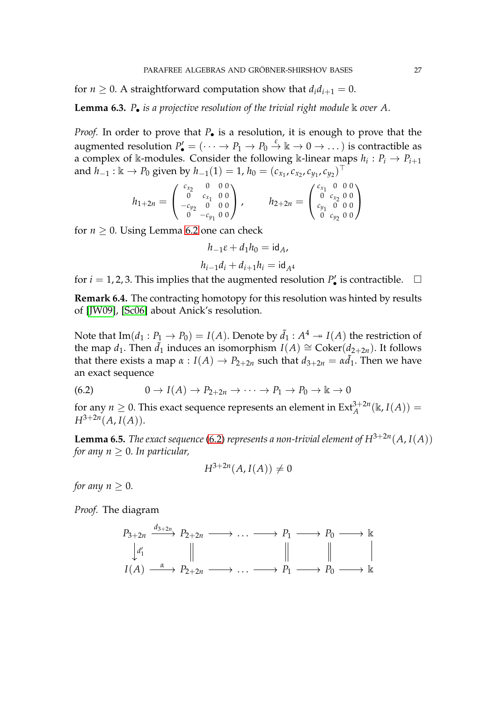for  $n \geq 0$ . A straightforward computation show that  $d_i d_{i+1} = 0$ .

**Lemma 6.3.** *P*• *is a projective resolution of the trivial right module* k *over A*.

*Proof.* In order to prove that  $P_{\bullet}$  is a resolution, it is enough to prove that the augmented resolution  $P'_\bullet = (\cdots \to P_1 \to P_0 \stackrel{\varepsilon}{\to} \Bbbk \to 0 \to \dots )$  is contractible as a complex of k-modules. Consider the following k-linear maps  $h_i: P_i \to P_{i+1}$ and  $h_{-1} : \mathbb{k} \to P_0$  given by  $h_{-1}(1) = 1$ ,  $h_0 = (c_{x_1}, c_{x_2}, c_{y_1}, c_{y_2})^\top$ 

$$
h_{1+2n} = \begin{pmatrix} c_{x_2} & 0 & 0 & 0 \\ 0 & c_{x_1} & 0 & 0 \\ -c_{y_2} & 0 & 0 & 0 \\ 0 & -c_{y_1} & 0 & 0 \end{pmatrix}, \qquad h_{2+2n} = \begin{pmatrix} c_{x_1} & 0 & 0 & 0 \\ 0 & c_{x_2} & 0 & 0 \\ c_{y_1} & 0 & 0 & 0 \\ 0 & c_{y_2} & 0 & 0 \end{pmatrix}
$$

for  $n \geq 0$ . Using Lemma [6.2](#page-24-1) one can check

$$
h_{-1}\varepsilon + d_1 h_0 = \mathrm{id}_A,
$$
  

$$
h_{i-1}d_i + d_{i+1}h_i = \mathrm{id}_{A^4}
$$

for  $i = 1, 2, 3$ . This implies that the augmented resolution  $P'_\bullet$  is contractible.  $\Box$ 

**Remark 6.4.** The contracting homotopy for this resolution was hinted by results of [\[JW09\]](#page-28-12), [\[Sc06\]](#page-28-13) about Anick's resolution.

Note that  $\mathrm{Im}(d_1 : P_1 \to P_0) = I(A)$ . Denote by  $\tilde{d}_1 : A^4 \twoheadrightarrow I(A)$  the restriction of the map  $d_1$ . Then  $\tilde{d}_1$  induces an isomorphism  $I(A) \cong \text{Coker}(d_{2+2n})$ . It follows that there exists a map  $\alpha$  :  $I(A) \rightarrow P_{2+2n}$  such that  $d_{3+2n} = \alpha \tilde{d}_1$ . Then we have an exact sequence

<span id="page-26-0"></span>(6.2) 
$$
0 \to I(A) \to P_{2+2n} \to \cdots \to P_1 \to P_0 \to \mathbb{k} \to 0
$$

<span id="page-26-1"></span>for any  $n \geq 0$ . This exact sequence represents an element in  $\text{Ext}_{A}^{3+2n}(\mathbb{k}, I(A))$  =  $H^{3+2n}(A, I(A)).$ 

**Lemma 6.5.** *The exact sequence* [\(6.2\)](#page-26-0) *represents a non-trivial element of*  $H^{3+2n}(A, I(A))$ *for any*  $n > 0$ *. In particular,* 

$$
H^{3+2n}(A, I(A)) \neq 0
$$

*for any*  $n > 0$ *.* 

*Proof.* The diagram

$$
P_{3+2n} \xrightarrow{d_{3+2n}} P_{2+2n} \longrightarrow \dots \longrightarrow P_1 \longrightarrow P_0 \longrightarrow \mathbb{k}
$$
  
\n
$$
\begin{array}{c}\n d'_1 \\
I(A) \xrightarrow{\alpha} P_{2+2n} \longrightarrow \dots \longrightarrow P_1 \longrightarrow P_0 \longrightarrow \mathbb{k}\n\end{array}
$$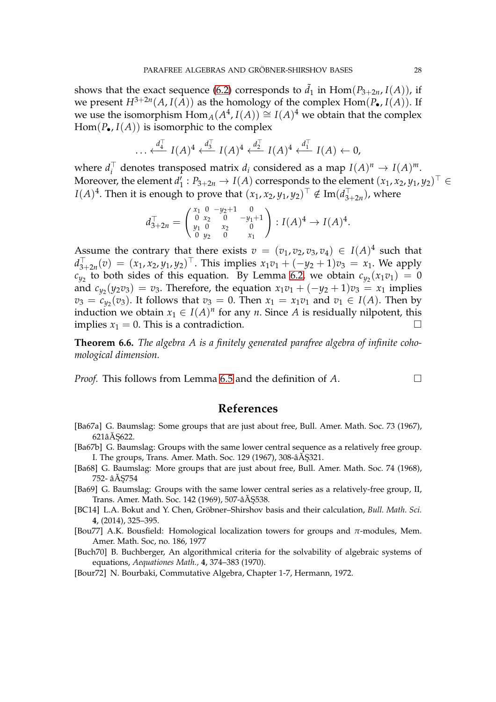shows that the exact sequence [\(6.2\)](#page-26-0) corresponds to  $\tilde{d}_1$  in Hom( $P_{3+2n}$ ,  $I(A)$ ), if we present  $H^{3+2n}(A, I(A))$  as the homology of the complex  $\text{Hom}(P_{\bullet}, I(A))$ . If we use the isomorphism  $\text{Hom}_{A}(A^4, I(A)) \cong I(A)^4$  we obtain that the complex  $Hom(P_{\bullet}, I(A))$  is isomorphic to the complex

$$
\ldots \stackrel{d_4^\top}{\longleftarrow} I(A)^4 \stackrel{d_3^\top}{\longleftarrow} I(A)^4 \stackrel{d_2^\top}{\longleftarrow} I(A)^4 \stackrel{d_1^\top}{\longleftarrow} I(A) \stackrel{}{\longleftarrow} 0,
$$

where  $d_i^{\top}$  $I_i^{\top}$  denotes transposed matrix  $d_i$  considered as a map  $I(A)^n \to I(A)^m$ . Moreover, the element *d* ′  $\mathcal{L}_1': P_{3+2n} \to I(A)$  corresponds to the element  $(x_1, x_2, y_1, y_2)^\top \in$ *I*(*A*)<sup>4</sup>. Then it is enough to prove that  $(x_1, x_2, y_1, y_2)^\top \notin \mathrm{Im} (d_{3-}^\top)$  $\frac{1}{3+2n}$ ), where

$$
d_{3+2n}^{\top} = \begin{pmatrix} x_1 & 0 & -y_2+1 & 0 \\ 0 & x_2 & 0 & -y_1+1 \\ y_1 & 0 & x_2 & 0 \\ 0 & y_2 & 0 & x_1 \end{pmatrix} : I(A)^4 \to I(A)^4.
$$

Assume the contrary that there exists  $v = (v_1, v_2, v_3, v_4) \in I(A)^4$  such that  $d_3^{\top}$  $\int_{3+2n}^{T}(v) = (x_1, x_2, y_1, y_2)$ <sup>T</sup>. This implies  $x_1v_1 + (-y_2 + 1)v_3 = x_1$ . We apply  $c_{y_2}$  to both sides of this equation. By Lemma [6.2,](#page-24-1) we obtain  $c_{y_2}(x_1v_1) = 0$ and  $c_{y_2}(y_2v_3) = v_3$ . Therefore, the equation  $x_1v_1 + (-y_2 + 1)v_3 = x_1$  implies  $v_3 = c_{y_2}(v_3)$ . It follows that  $v_3 = 0$ . Then  $x_1 = x_1v_1$  and  $v_1 \in I(A)$ . Then by induction we obtain  $x_1 \in I(A)^n$  for any *n*. Since *A* is residually nilpotent, this implies  $x_1 = 0$ . This is a contradiction.

**Theorem 6.6.** *The algebra A is a finitely generated parafree algebra of infinite cohomological dimension.*

*Proof.* This follows from Lemma [6.5](#page-26-1) and the definition of *A*.

### **References**

- <span id="page-27-0"></span>[Ba67a] G. Baumslag: Some groups that are just about free, Bull. Amer. Math. Soc. 73 (1967),  $621a$  $\AA$  5622.
- <span id="page-27-1"></span>[Ba67b] G. Baumslag: Groups with the same lower central sequence as a relatively free group. I. The groups, Trans. Amer. Math. Soc. 129 (1967), 308-â $\overline{A}$ \$321.
- <span id="page-27-2"></span>[Ba68] G. Baumslag: More groups that are just about free, Bull. Amer. Math. Soc. 74 (1968), 752- âĂŞ754
- <span id="page-27-3"></span>[Ba69] G. Baumslag: Groups with the same lower central series as a relatively-free group, II, Trans. Amer. Math. Soc. 142 (1969), 507-â $\check{A}$ \$538.
- <span id="page-27-5"></span>[BC14] L.A. Bokut and Y. Chen, Gröbner–Shirshov basis and their calculation, *Bull. Math. Sci.* **4**, (2014), 325–395.
- <span id="page-27-4"></span>[Bou77] A.K. Bousfield: Homological localization towers for groups and *π*-modules, Mem. Amer. Math. Soc, no. 186, 1977
- [Buch70] B. Buchberger, An algorithmical criteria for the solvability of algebraic systems of equations, *Aequationes Math.,* **4**, 374–383 (1970).

<span id="page-27-6"></span>[Bour72] N. Bourbaki, Commutative Algebra, Chapter 1-7, Hermann, 1972.